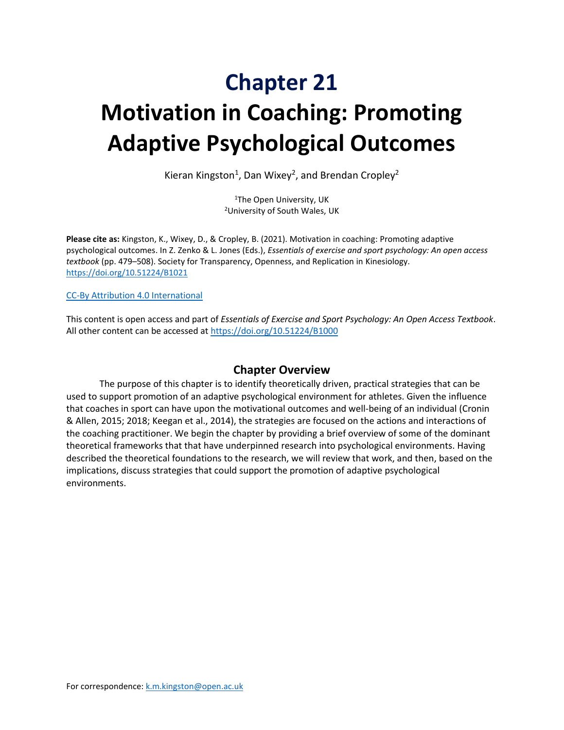# **Chapter 21 Motivation in Coaching: Promoting Adaptive Psychological Outcomes**

Kieran Kingston<sup>1</sup>, Dan Wixey<sup>2</sup>, and Brendan Cropley<sup>2</sup>

<sup>1</sup>The Open University, UK <sup>2</sup>University of South Wales, UK

**Please cite as:** Kingston, K., Wixey, D., & Cropley, B. (2021). Motivation in coaching: Promoting adaptive psychological outcomes. In Z. Zenko & L. Jones (Eds.), *Essentials of exercise and sport psychology: An open access textbook* (pp. 479–508). Society for Transparency, Openness, and Replication in Kinesiology. <https://doi.org/10.51224/B1021>

#### [CC-By Attribution 4.0 International](https://creativecommons.org/licenses/by/4.0/)

This content is open access and part of *Essentials of Exercise and Sport Psychology: An Open Access Textbook*. All other content can be accessed a[t https://doi.org/10.51224/B1000](https://doi.org/10.51224/B1000)

## **Chapter Overview**

The purpose of this chapter is to identify theoretically driven, practical strategies that can be used to support promotion of an adaptive psychological environment for athletes. Given the influence that coaches in sport can have upon the motivational outcomes and well-being of an individual (Cronin & Allen, 2015; 2018; Keegan et al., 2014), the strategies are focused on the actions and interactions of the coaching practitioner. We begin the chapter by providing a brief overview of some of the dominant theoretical frameworks that that have underpinned research into psychological environments. Having described the theoretical foundations to the research, we will review that work, and then, based on the implications, discuss strategies that could support the promotion of adaptive psychological environments.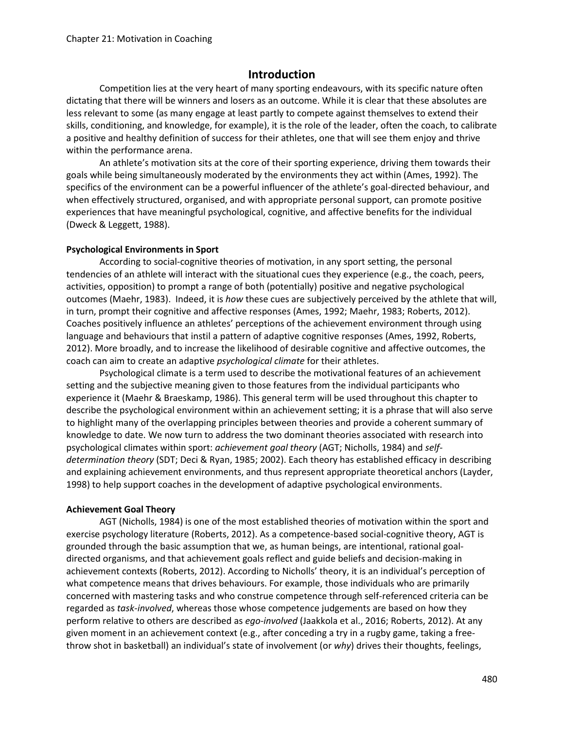## **Introduction**

Competition lies at the very heart of many sporting endeavours, with its specific nature often dictating that there will be winners and losers as an outcome. While it is clear that these absolutes are less relevant to some (as many engage at least partly to compete against themselves to extend their skills, conditioning, and knowledge, for example), it is the role of the leader, often the coach, to calibrate a positive and healthy definition of success for their athletes, one that will see them enjoy and thrive within the performance arena.

An athlete's motivation sits at the core of their sporting experience, driving them towards their goals while being simultaneously moderated by the environments they act within (Ames, 1992). The specifics of the environment can be a powerful influencer of the athlete's goal-directed behaviour, and when effectively structured, organised, and with appropriate personal support, can promote positive experiences that have meaningful psychological, cognitive, and affective benefits for the individual (Dweck & Leggett, 1988).

#### **Psychological Environments in Sport**

According to social-cognitive theories of motivation, in any sport setting, the personal tendencies of an athlete will interact with the situational cues they experience (e.g., the coach, peers, activities, opposition) to prompt a range of both (potentially) positive and negative psychological outcomes (Maehr, 1983). Indeed, it is *how* these cues are subjectively perceived by the athlete that will, in turn, prompt their cognitive and affective responses (Ames, 1992; Maehr, 1983; Roberts, 2012). Coaches positively influence an athletes' perceptions of the achievement environment through using language and behaviours that instil a pattern of adaptive cognitive responses (Ames, 1992, Roberts, 2012). More broadly, and to increase the likelihood of desirable cognitive and affective outcomes, the coach can aim to create an adaptive *psychological climate* for their athletes.

Psychological climate is a term used to describe the motivational features of an achievement setting and the subjective meaning given to those features from the individual participants who experience it (Maehr & Braeskamp, 1986). This general term will be used throughout this chapter to describe the psychological environment within an achievement setting; it is a phrase that will also serve to highlight many of the overlapping principles between theories and provide a coherent summary of knowledge to date. We now turn to address the two dominant theories associated with research into psychological climates within sport: *achievement goal theory* (AGT; Nicholls, 1984) and *selfdetermination theory* (SDT; Deci & Ryan, 1985; 2002). Each theory has established efficacy in describing and explaining achievement environments, and thus represent appropriate theoretical anchors (Layder, 1998) to help support coaches in the development of adaptive psychological environments.

#### **Achievement Goal Theory**

AGT (Nicholls, 1984) is one of the most established theories of motivation within the sport and exercise psychology literature (Roberts, 2012). As a competence-based social-cognitive theory, AGT is grounded through the basic assumption that we, as human beings, are intentional, rational goaldirected organisms, and that achievement goals reflect and guide beliefs and decision-making in achievement contexts (Roberts, 2012). According to Nicholls' theory, it is an individual's perception of what competence means that drives behaviours. For example, those individuals who are primarily concerned with mastering tasks and who construe competence through self-referenced criteria can be regarded as *task-involved*, whereas those whose competence judgements are based on how they perform relative to others are described as *ego-involved* (Jaakkola et al., 2016; Roberts, 2012). At any given moment in an achievement context (e.g., after conceding a try in a rugby game, taking a freethrow shot in basketball) an individual's state of involvement (or *why*) drives their thoughts, feelings,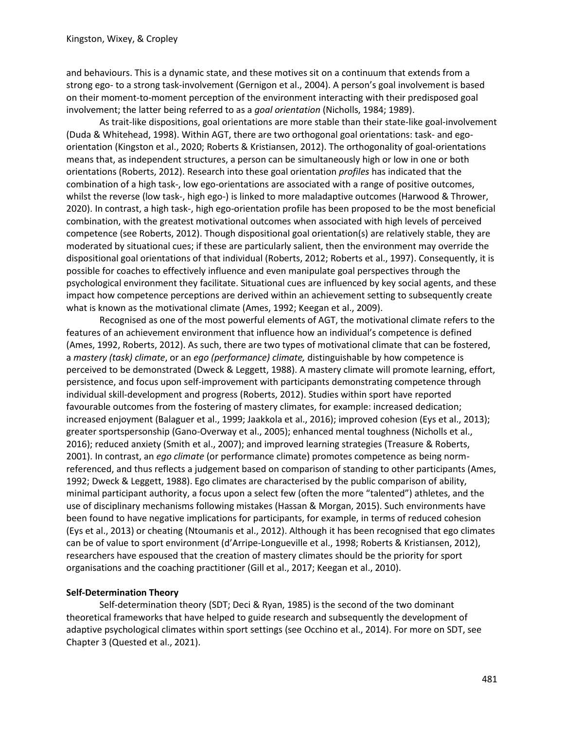and behaviours. This is a dynamic state, and these motives sit on a continuum that extends from a strong ego- to a strong task-involvement (Gernigon et al., 2004). A person's goal involvement is based on their moment-to-moment perception of the environment interacting with their predisposed goal involvement; the latter being referred to as a *goal orientation* (Nicholls, 1984; 1989).

As trait-like dispositions, goal orientations are more stable than their state-like goal-involvement (Duda & Whitehead, 1998). Within AGT, there are two orthogonal goal orientations: task- and egoorientation (Kingston et al., 2020; Roberts & Kristiansen, 2012). The orthogonality of goal-orientations means that, as independent structures, a person can be simultaneously high or low in one or both orientations (Roberts, 2012). Research into these goal orientation *profiles* has indicated that the combination of a high task-, low ego-orientations are associated with a range of positive outcomes, whilst the reverse (low task-, high ego-) is linked to more maladaptive outcomes (Harwood & Thrower, 2020). In contrast, a high task-, high ego-orientation profile has been proposed to be the most beneficial combination, with the greatest motivational outcomes when associated with high levels of perceived competence (see Roberts, 2012). Though dispositional goal orientation(s) are relatively stable, they are moderated by situational cues; if these are particularly salient, then the environment may override the dispositional goal orientations of that individual (Roberts, 2012; Roberts et al., 1997). Consequently, it is possible for coaches to effectively influence and even manipulate goal perspectives through the psychological environment they facilitate. Situational cues are influenced by key social agents, and these impact how competence perceptions are derived within an achievement setting to subsequently create what is known as the motivational climate (Ames, 1992; Keegan et al., 2009).

Recognised as one of the most powerful elements of AGT, the motivational climate refers to the features of an achievement environment that influence how an individual's competence is defined (Ames, 1992, Roberts, 2012). As such, there are two types of motivational climate that can be fostered, a *mastery (task) climate*, or an *ego (performance) climate,* distinguishable by how competence is perceived to be demonstrated (Dweck & Leggett, 1988). A mastery climate will promote learning, effort, persistence, and focus upon self-improvement with participants demonstrating competence through individual skill-development and progress (Roberts, 2012). Studies within sport have reported favourable outcomes from the fostering of mastery climates, for example: increased dedication; increased enjoyment (Balaguer et al., 1999; Jaakkola et al., 2016); improved cohesion (Eys et al., 2013); greater sportspersonship (Gano-Overway et al., 2005); enhanced mental toughness (Nicholls et al., 2016); reduced anxiety (Smith et al., 2007); and improved learning strategies (Treasure & Roberts, 2001). In contrast, an *ego climate* (or performance climate) promotes competence as being normreferenced, and thus reflects a judgement based on comparison of standing to other participants (Ames, 1992; Dweck & Leggett, 1988). Ego climates are characterised by the public comparison of ability, minimal participant authority, a focus upon a select few (often the more "talented") athletes, and the use of disciplinary mechanisms following mistakes (Hassan & Morgan, 2015). Such environments have been found to have negative implications for participants, for example, in terms of reduced cohesion (Eys et al., 2013) or cheating (Ntoumanis et al., 2012). Although it has been recognised that ego climates can be of value to sport environment (d'Arripe-Longueville et al., 1998; Roberts & Kristiansen, 2012), researchers have espoused that the creation of mastery climates should be the priority for sport organisations and the coaching practitioner (Gill et al., 2017; Keegan et al., 2010).

#### **Self-Determination Theory**

Self-determination theory (SDT; Deci & Ryan, 1985) is the second of the two dominant theoretical frameworks that have helped to guide research and subsequently the development of adaptive psychological climates within sport settings (see Occhino et al., 2014). For more on SDT, see Chapter 3 (Quested et al., 2021).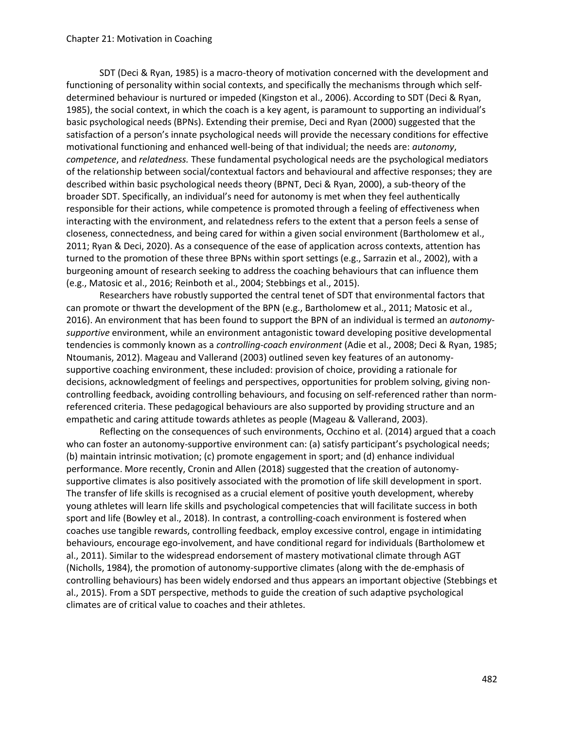SDT (Deci & Ryan, 1985) is a macro-theory of motivation concerned with the development and functioning of personality within social contexts, and specifically the mechanisms through which selfdetermined behaviour is nurtured or impeded (Kingston et al., 2006). According to SDT (Deci & Ryan, 1985), the social context, in which the coach is a key agent, is paramount to supporting an individual's basic psychological needs (BPNs). Extending their premise, Deci and Ryan (2000) suggested that the satisfaction of a person's innate psychological needs will provide the necessary conditions for effective motivational functioning and enhanced well-being of that individual; the needs are: *autonomy*, *competence*, and *relatedness.* These fundamental psychological needs are the psychological mediators of the relationship between social/contextual factors and behavioural and affective responses; they are described within basic psychological needs theory (BPNT, Deci & Ryan, 2000), a sub-theory of the broader SDT. Specifically, an individual's need for autonomy is met when they feel authentically responsible for their actions, while competence is promoted through a feeling of effectiveness when interacting with the environment, and relatedness refers to the extent that a person feels a sense of closeness, connectedness, and being cared for within a given social environment (Bartholomew et al., 2011; Ryan & Deci, 2020). As a consequence of the ease of application across contexts, attention has turned to the promotion of these three BPNs within sport settings (e.g., Sarrazin et al., 2002), with a burgeoning amount of research seeking to address the coaching behaviours that can influence them (e.g., Matosic et al., 2016; Reinboth et al., 2004; Stebbings et al., 2015).

Researchers have robustly supported the central tenet of SDT that environmental factors that can promote or thwart the development of the BPN (e.g., Bartholomew et al., 2011; Matosic et al., 2016). An environment that has been found to support the BPN of an individual is termed an *autonomysupportive* environment, while an environment antagonistic toward developing positive developmental tendencies is commonly known as a *controlling-coach environment* (Adie et al., 2008; Deci & Ryan, 1985; Ntoumanis, 2012). Mageau and Vallerand (2003) outlined seven key features of an autonomysupportive coaching environment, these included: provision of choice, providing a rationale for decisions, acknowledgment of feelings and perspectives, opportunities for problem solving, giving noncontrolling feedback, avoiding controlling behaviours, and focusing on self-referenced rather than normreferenced criteria. These pedagogical behaviours are also supported by providing structure and an empathetic and caring attitude towards athletes as people (Mageau & Vallerand, 2003).

Reflecting on the consequences of such environments, Occhino et al. (2014) argued that a coach who can foster an autonomy-supportive environment can: (a) satisfy participant's psychological needs; (b) maintain intrinsic motivation; (c) promote engagement in sport; and (d) enhance individual performance. More recently, Cronin and Allen (2018) suggested that the creation of autonomysupportive climates is also positively associated with the promotion of life skill development in sport. The transfer of life skills is recognised as a crucial element of positive youth development, whereby young athletes will learn life skills and psychological competencies that will facilitate success in both sport and life (Bowley et al., 2018). In contrast, a controlling-coach environment is fostered when coaches use tangible rewards, controlling feedback, employ excessive control, engage in intimidating behaviours, encourage ego-involvement, and have conditional regard for individuals (Bartholomew et al., 2011). Similar to the widespread endorsement of mastery motivational climate through AGT (Nicholls, 1984), the promotion of autonomy-supportive climates (along with the de-emphasis of controlling behaviours) has been widely endorsed and thus appears an important objective (Stebbings et al., 2015). From a SDT perspective, methods to guide the creation of such adaptive psychological climates are of critical value to coaches and their athletes.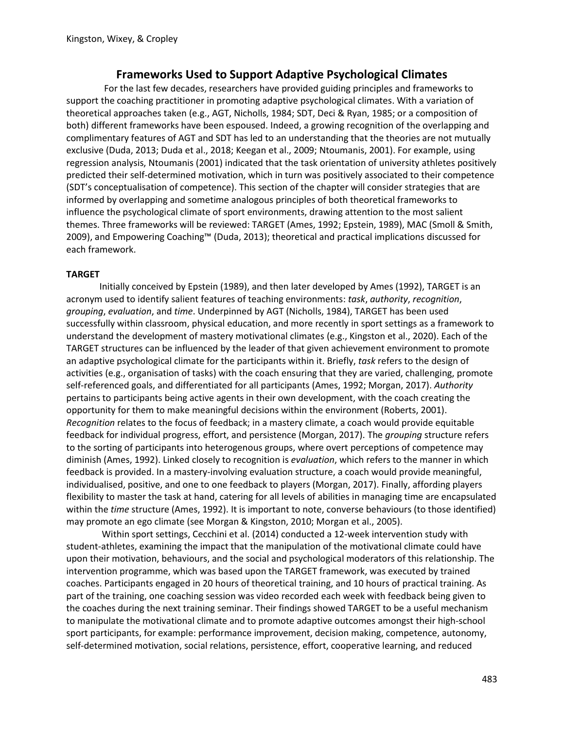## **Frameworks Used to Support Adaptive Psychological Climates**

 For the last few decades, researchers have provided guiding principles and frameworks to support the coaching practitioner in promoting adaptive psychological climates. With a variation of theoretical approaches taken (e.g., AGT, Nicholls, 1984; SDT, Deci & Ryan, 1985; or a composition of both) different frameworks have been espoused. Indeed, a growing recognition of the overlapping and complimentary features of AGT and SDT has led to an understanding that the theories are not mutually exclusive (Duda, 2013; Duda et al., 2018; Keegan et al., 2009; Ntoumanis, 2001). For example, using regression analysis, Ntoumanis (2001) indicated that the task orientation of university athletes positively predicted their self-determined motivation, which in turn was positively associated to their competence (SDT's conceptualisation of competence). This section of the chapter will consider strategies that are informed by overlapping and sometime analogous principles of both theoretical frameworks to influence the psychological climate of sport environments, drawing attention to the most salient themes. Three frameworks will be reviewed: TARGET (Ames, 1992; Epstein, 1989), MAC (Smoll & Smith, 2009), and Empowering Coaching™ (Duda, 2013); theoretical and practical implications discussed for each framework.

#### **TARGET**

Initially conceived by Epstein (1989), and then later developed by Ames (1992), TARGET is an acronym used to identify salient features of teaching environments: *task*, *authority*, *recognition*, *grouping*, *evaluation*, and *time*. Underpinned by AGT (Nicholls, 1984), TARGET has been used successfully within classroom, physical education, and more recently in sport settings as a framework to understand the development of mastery motivational climates (e.g., Kingston et al., 2020). Each of the TARGET structures can be influenced by the leader of that given achievement environment to promote an adaptive psychological climate for the participants within it. Briefly, *task* refers to the design of activities (e.g., organisation of tasks) with the coach ensuring that they are varied, challenging, promote self-referenced goals, and differentiated for all participants (Ames, 1992; Morgan, 2017). *Authority* pertains to participants being active agents in their own development, with the coach creating the opportunity for them to make meaningful decisions within the environment (Roberts, 2001). *Recognition* relates to the focus of feedback; in a mastery climate, a coach would provide equitable feedback for individual progress, effort, and persistence (Morgan, 2017). The *grouping* structure refers to the sorting of participants into heterogenous groups, where overt perceptions of competence may diminish (Ames, 1992). Linked closely to recognition is *evaluation*, which refers to the manner in which feedback is provided. In a mastery-involving evaluation structure, a coach would provide meaningful, individualised, positive, and one to one feedback to players (Morgan, 2017). Finally, affording players flexibility to master the task at hand, catering for all levels of abilities in managing time are encapsulated within the *time* structure (Ames, 1992). It is important to note, converse behaviours (to those identified) may promote an ego climate (see Morgan & Kingston, 2010; Morgan et al., 2005).

Within sport settings, Cecchini et al. (2014) conducted a 12-week intervention study with student-athletes, examining the impact that the manipulation of the motivational climate could have upon their motivation, behaviours, and the social and psychological moderators of this relationship. The intervention programme, which was based upon the TARGET framework, was executed by trained coaches. Participants engaged in 20 hours of theoretical training, and 10 hours of practical training. As part of the training, one coaching session was video recorded each week with feedback being given to the coaches during the next training seminar. Their findings showed TARGET to be a useful mechanism to manipulate the motivational climate and to promote adaptive outcomes amongst their high-school sport participants, for example: performance improvement, decision making, competence, autonomy, self-determined motivation, social relations, persistence, effort, cooperative learning, and reduced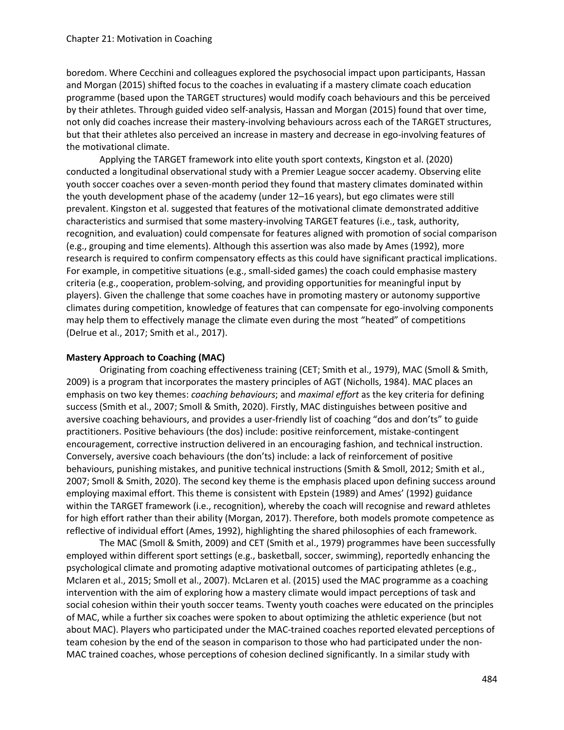boredom. Where Cecchini and colleagues explored the psychosocial impact upon participants, Hassan and Morgan (2015) shifted focus to the coaches in evaluating if a mastery climate coach education programme (based upon the TARGET structures) would modify coach behaviours and this be perceived by their athletes. Through guided video self-analysis, Hassan and Morgan (2015) found that over time, not only did coaches increase their mastery-involving behaviours across each of the TARGET structures, but that their athletes also perceived an increase in mastery and decrease in ego-involving features of the motivational climate.

Applying the TARGET framework into elite youth sport contexts, Kingston et al. (2020) conducted a longitudinal observational study with a Premier League soccer academy. Observing elite youth soccer coaches over a seven-month period they found that mastery climates dominated within the youth development phase of the academy (under 12–16 years), but ego climates were still prevalent. Kingston et al. suggested that features of the motivational climate demonstrated additive characteristics and surmised that some mastery-involving TARGET features (i.e., task, authority, recognition, and evaluation) could compensate for features aligned with promotion of social comparison (e.g., grouping and time elements). Although this assertion was also made by Ames (1992), more research is required to confirm compensatory effects as this could have significant practical implications. For example, in competitive situations (e.g., small-sided games) the coach could emphasise mastery criteria (e.g., cooperation, problem-solving, and providing opportunities for meaningful input by players). Given the challenge that some coaches have in promoting mastery or autonomy supportive climates during competition, knowledge of features that can compensate for ego-involving components may help them to effectively manage the climate even during the most "heated" of competitions (Delrue et al., 2017; Smith et al., 2017).

#### **Mastery Approach to Coaching (MAC)**

Originating from coaching effectiveness training (CET; Smith et al., 1979), MAC (Smoll & Smith, 2009) is a program that incorporates the mastery principles of AGT (Nicholls, 1984). MAC places an emphasis on two key themes: *coaching behaviours*; and *maximal effort* as the key criteria for defining success (Smith et al., 2007; Smoll & Smith, 2020). Firstly, MAC distinguishes between positive and aversive coaching behaviours, and provides a user-friendly list of coaching "dos and don'ts" to guide practitioners. Positive behaviours (the dos) include: positive reinforcement, mistake-contingent encouragement, corrective instruction delivered in an encouraging fashion, and technical instruction. Conversely, aversive coach behaviours (the don'ts) include: a lack of reinforcement of positive behaviours, punishing mistakes, and punitive technical instructions (Smith & Smoll, 2012; Smith et al., 2007; Smoll & Smith, 2020). The second key theme is the emphasis placed upon defining success around employing maximal effort. This theme is consistent with Epstein (1989) and Ames' (1992) guidance within the TARGET framework (i.e., recognition), whereby the coach will recognise and reward athletes for high effort rather than their ability (Morgan, 2017). Therefore, both models promote competence as reflective of individual effort (Ames, 1992), highlighting the shared philosophies of each framework.

The MAC (Smoll & Smith, 2009) and CET (Smith et al., 1979) programmes have been successfully employed within different sport settings (e.g., basketball, soccer, swimming), reportedly enhancing the psychological climate and promoting adaptive motivational outcomes of participating athletes (e.g., Mclaren et al., 2015; Smoll et al., 2007). McLaren et al. (2015) used the MAC programme as a coaching intervention with the aim of exploring how a mastery climate would impact perceptions of task and social cohesion within their youth soccer teams. Twenty youth coaches were educated on the principles of MAC, while a further six coaches were spoken to about optimizing the athletic experience (but not about MAC). Players who participated under the MAC-trained coaches reported elevated perceptions of team cohesion by the end of the season in comparison to those who had participated under the non-MAC trained coaches, whose perceptions of cohesion declined significantly. In a similar study with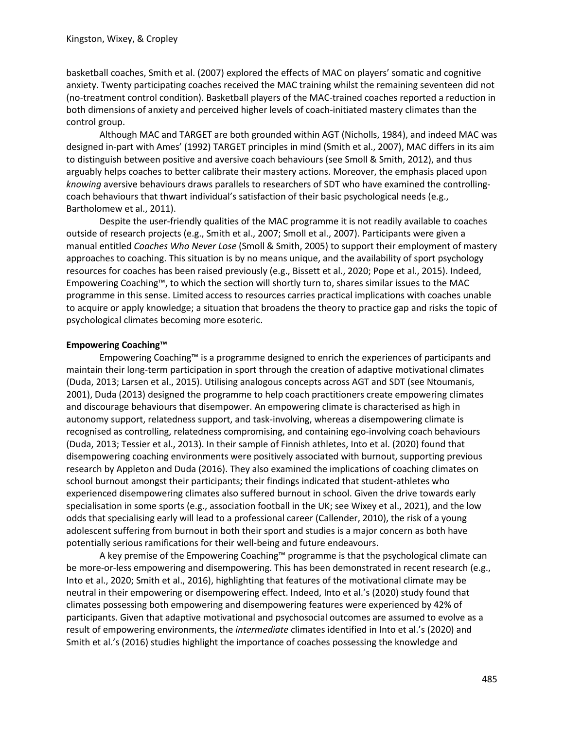basketball coaches, Smith et al. (2007) explored the effects of MAC on players' somatic and cognitive anxiety. Twenty participating coaches received the MAC training whilst the remaining seventeen did not (no-treatment control condition). Basketball players of the MAC-trained coaches reported a reduction in both dimensions of anxiety and perceived higher levels of coach-initiated mastery climates than the control group.

Although MAC and TARGET are both grounded within AGT (Nicholls, 1984), and indeed MAC was designed in-part with Ames' (1992) TARGET principles in mind (Smith et al., 2007), MAC differs in its aim to distinguish between positive and aversive coach behaviours (see Smoll & Smith, 2012), and thus arguably helps coaches to better calibrate their mastery actions. Moreover, the emphasis placed upon *knowing* aversive behaviours draws parallels to researchers of SDT who have examined the controllingcoach behaviours that thwart individual's satisfaction of their basic psychological needs (e.g., Bartholomew et al., 2011).

Despite the user-friendly qualities of the MAC programme it is not readily available to coaches outside of research projects (e.g., Smith et al., 2007; Smoll et al., 2007). Participants were given a manual entitled *Coaches Who Never Lose* (Smoll & Smith, 2005) to support their employment of mastery approaches to coaching. This situation is by no means unique, and the availability of sport psychology resources for coaches has been raised previously (e.g., Bissett et al., 2020; Pope et al., 2015). Indeed, Empowering Coaching™, to which the section will shortly turn to, shares similar issues to the MAC programme in this sense. Limited access to resources carries practical implications with coaches unable to acquire or apply knowledge; a situation that broadens the theory to practice gap and risks the topic of psychological climates becoming more esoteric.

#### **Empowering Coaching™**

Empowering Coaching™ is a programme designed to enrich the experiences of participants and maintain their long-term participation in sport through the creation of adaptive motivational climates (Duda, 2013; Larsen et al., 2015). Utilising analogous concepts across AGT and SDT (see Ntoumanis, 2001), Duda (2013) designed the programme to help coach practitioners create empowering climates and discourage behaviours that disempower. An empowering climate is characterised as high in autonomy support, relatedness support, and task-involving, whereas a disempowering climate is recognised as controlling, relatedness compromising, and containing ego-involving coach behaviours (Duda, 2013; Tessier et al., 2013). In their sample of Finnish athletes, Into et al. (2020) found that disempowering coaching environments were positively associated with burnout, supporting previous research by Appleton and Duda (2016). They also examined the implications of coaching climates on school burnout amongst their participants; their findings indicated that student-athletes who experienced disempowering climates also suffered burnout in school. Given the drive towards early specialisation in some sports (e.g., association football in the UK; see Wixey et al., 2021), and the low odds that specialising early will lead to a professional career (Callender, 2010), the risk of a young adolescent suffering from burnout in both their sport and studies is a major concern as both have potentially serious ramifications for their well-being and future endeavours.

A key premise of the Empowering Coaching™ programme is that the psychological climate can be more-or-less empowering and disempowering. This has been demonstrated in recent research (e.g., Into et al., 2020; Smith et al., 2016), highlighting that features of the motivational climate may be neutral in their empowering or disempowering effect. Indeed, Into et al.'s (2020) study found that climates possessing both empowering and disempowering features were experienced by 42% of participants. Given that adaptive motivational and psychosocial outcomes are assumed to evolve as a result of empowering environments, the *intermediate* climates identified in Into et al.'s (2020) and Smith et al.'s (2016) studies highlight the importance of coaches possessing the knowledge and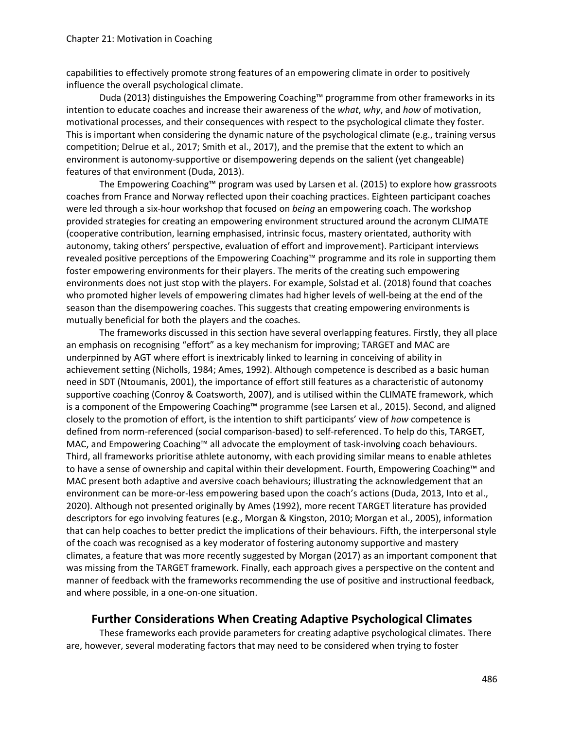capabilities to effectively promote strong features of an empowering climate in order to positively influence the overall psychological climate.

Duda (2013) distinguishes the Empowering Coaching™ programme from other frameworks in its intention to educate coaches and increase their awareness of the *what*, *why*, and *how* of motivation, motivational processes, and their consequences with respect to the psychological climate they foster. This is important when considering the dynamic nature of the psychological climate (e.g., training versus competition; Delrue et al., 2017; Smith et al., 2017), and the premise that the extent to which an environment is autonomy-supportive or disempowering depends on the salient (yet changeable) features of that environment (Duda, 2013).

The Empowering Coaching™ program was used by Larsen et al. (2015) to explore how grassroots coaches from France and Norway reflected upon their coaching practices. Eighteen participant coaches were led through a six-hour workshop that focused on *being* an empowering coach. The workshop provided strategies for creating an empowering environment structured around the acronym CLIMATE (cooperative contribution, learning emphasised, intrinsic focus, mastery orientated, authority with autonomy, taking others' perspective, evaluation of effort and improvement). Participant interviews revealed positive perceptions of the Empowering Coaching™ programme and its role in supporting them foster empowering environments for their players. The merits of the creating such empowering environments does not just stop with the players. For example, Solstad et al. (2018) found that coaches who promoted higher levels of empowering climates had higher levels of well-being at the end of the season than the disempowering coaches. This suggests that creating empowering environments is mutually beneficial for both the players and the coaches.

The frameworks discussed in this section have several overlapping features. Firstly, they all place an emphasis on recognising "effort" as a key mechanism for improving; TARGET and MAC are underpinned by AGT where effort is inextricably linked to learning in conceiving of ability in achievement setting (Nicholls, 1984; Ames, 1992). Although competence is described as a basic human need in SDT (Ntoumanis, 2001), the importance of effort still features as a characteristic of autonomy supportive coaching (Conroy & Coatsworth, 2007), and is utilised within the CLIMATE framework, which is a component of the Empowering Coaching™ programme (see Larsen et al., 2015). Second, and aligned closely to the promotion of effort, is the intention to shift participants' view of *how* competence is defined from norm-referenced (social comparison-based) to self-referenced. To help do this, TARGET, MAC, and Empowering Coaching™ all advocate the employment of task-involving coach behaviours. Third, all frameworks prioritise athlete autonomy, with each providing similar means to enable athletes to have a sense of ownership and capital within their development. Fourth, Empowering Coaching™ and MAC present both adaptive and aversive coach behaviours; illustrating the acknowledgement that an environment can be more-or-less empowering based upon the coach's actions (Duda, 2013, Into et al., 2020). Although not presented originally by Ames (1992), more recent TARGET literature has provided descriptors for ego involving features (e.g., Morgan & Kingston, 2010; Morgan et al., 2005), information that can help coaches to better predict the implications of their behaviours. Fifth, the interpersonal style of the coach was recognised as a key moderator of fostering autonomy supportive and mastery climates, a feature that was more recently suggested by Morgan (2017) as an important component that was missing from the TARGET framework. Finally, each approach gives a perspective on the content and manner of feedback with the frameworks recommending the use of positive and instructional feedback, and where possible, in a one-on-one situation.

# **Further Considerations When Creating Adaptive Psychological Climates**

These frameworks each provide parameters for creating adaptive psychological climates. There are, however, several moderating factors that may need to be considered when trying to foster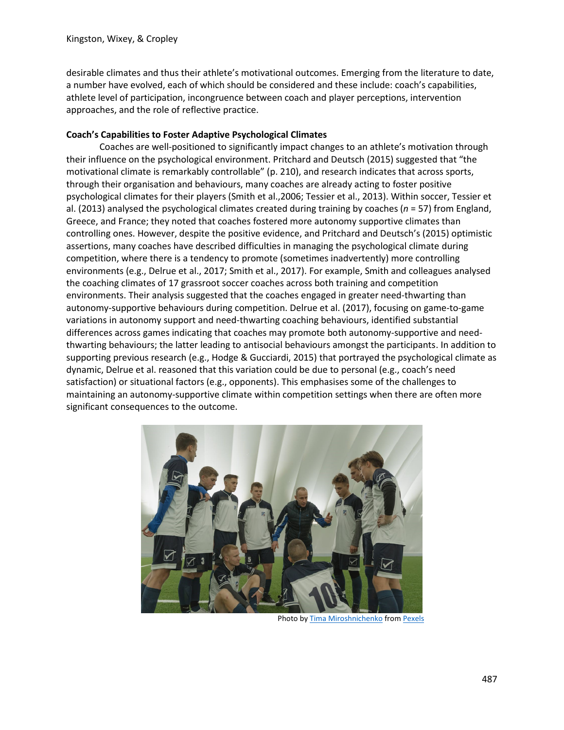desirable climates and thus their athlete's motivational outcomes. Emerging from the literature to date, a number have evolved, each of which should be considered and these include: coach's capabilities, athlete level of participation, incongruence between coach and player perceptions, intervention approaches, and the role of reflective practice.

### **Coach's Capabilities to Foster Adaptive Psychological Climates**

Coaches are well-positioned to significantly impact changes to an athlete's motivation through their influence on the psychological environment. Pritchard and Deutsch (2015) suggested that "the motivational climate is remarkably controllable" (p. 210), and research indicates that across sports, through their organisation and behaviours, many coaches are already acting to foster positive psychological climates for their players (Smith et al.,2006; Tessier et al., 2013). Within soccer, Tessier et al. (2013) analysed the psychological climates created during training by coaches (*n* = 57) from England, Greece, and France; they noted that coaches fostered more autonomy supportive climates than controlling ones. However, despite the positive evidence, and Pritchard and Deutsch's (2015) optimistic assertions, many coaches have described difficulties in managing the psychological climate during competition, where there is a tendency to promote (sometimes inadvertently) more controlling environments (e.g., Delrue et al., 2017; Smith et al., 2017). For example, Smith and colleagues analysed the coaching climates of 17 grassroot soccer coaches across both training and competition environments. Their analysis suggested that the coaches engaged in greater need-thwarting than autonomy-supportive behaviours during competition. Delrue et al. (2017), focusing on game-to-game variations in autonomy support and need-thwarting coaching behaviours, identified substantial differences across games indicating that coaches may promote both autonomy-supportive and needthwarting behaviours; the latter leading to antisocial behaviours amongst the participants. In addition to supporting previous research (e.g., Hodge & Gucciardi, 2015) that portrayed the psychological climate as dynamic, Delrue et al. reasoned that this variation could be due to personal (e.g., coach's need satisfaction) or situational factors (e.g., opponents). This emphasises some of the challenges to maintaining an autonomy-supportive climate within competition settings when there are often more significant consequences to the outcome.



Photo b[y Tima Miroshnichenko](https://www.pexels.com/@tima-miroshnichenko?utm_content=attributionCopyText&utm_medium=referral&utm_source=pexels) fro[m Pexels](https://www.pexels.com/photo/group-of-men-standing-on-green-grass-field-6077808/?utm_content=attributionCopyText&utm_medium=referral&utm_source=pexels)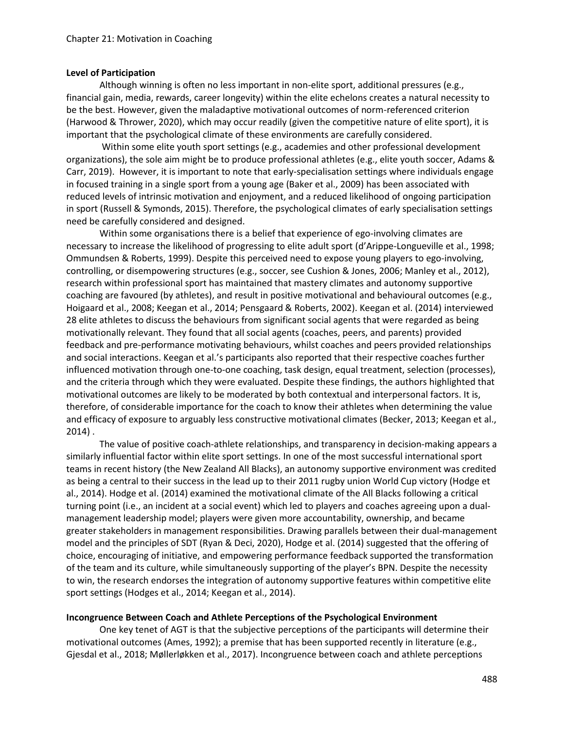#### **Level of Participation**

Although winning is often no less important in non-elite sport, additional pressures (e.g., financial gain, media, rewards, career longevity) within the elite echelons creates a natural necessity to be the best. However, given the maladaptive motivational outcomes of norm-referenced criterion (Harwood & Thrower, 2020), which may occur readily (given the competitive nature of elite sport), it is important that the psychological climate of these environments are carefully considered.

Within some elite youth sport settings (e.g., academies and other professional development organizations), the sole aim might be to produce professional athletes (e.g., elite youth soccer, Adams & Carr, 2019). However, it is important to note that early-specialisation settings where individuals engage in focused training in a single sport from a young age (Baker et al., 2009) has been associated with reduced levels of intrinsic motivation and enjoyment, and a reduced likelihood of ongoing participation in sport (Russell & Symonds, 2015). Therefore, the psychological climates of early specialisation settings need be carefully considered and designed.

Within some organisations there is a belief that experience of ego-involving climates are necessary to increase the likelihood of progressing to elite adult sport (d'Arippe-Longueville et al., 1998; Ommundsen & Roberts, 1999). Despite this perceived need to expose young players to ego-involving, controlling, or disempowering structures (e.g., soccer, see Cushion & Jones, 2006; Manley et al., 2012), research within professional sport has maintained that mastery climates and autonomy supportive coaching are favoured (by athletes), and result in positive motivational and behavioural outcomes (e.g., Hoigaard et al., 2008; Keegan et al., 2014; Pensgaard & Roberts, 2002). Keegan et al. (2014) interviewed 28 elite athletes to discuss the behaviours from significant social agents that were regarded as being motivationally relevant. They found that all social agents (coaches, peers, and parents) provided feedback and pre-performance motivating behaviours, whilst coaches and peers provided relationships and social interactions. Keegan et al.'s participants also reported that their respective coaches further influenced motivation through one-to-one coaching, task design, equal treatment, selection (processes), and the criteria through which they were evaluated. Despite these findings, the authors highlighted that motivational outcomes are likely to be moderated by both contextual and interpersonal factors. It is, therefore, of considerable importance for the coach to know their athletes when determining the value and efficacy of exposure to arguably less constructive motivational climates (Becker, 2013; Keegan et al., 2014) .

The value of positive coach-athlete relationships, and transparency in decision-making appears a similarly influential factor within elite sport settings. In one of the most successful international sport teams in recent history (the New Zealand All Blacks), an autonomy supportive environment was credited as being a central to their success in the lead up to their 2011 rugby union World Cup victory (Hodge et al., 2014). Hodge et al. (2014) examined the motivational climate of the All Blacks following a critical turning point (i.e., an incident at a social event) which led to players and coaches agreeing upon a dualmanagement leadership model; players were given more accountability, ownership, and became greater stakeholders in management responsibilities. Drawing parallels between their dual-management model and the principles of SDT (Ryan & Deci, 2020), Hodge et al. (2014) suggested that the offering of choice, encouraging of initiative, and empowering performance feedback supported the transformation of the team and its culture, while simultaneously supporting of the player's BPN. Despite the necessity to win, the research endorses the integration of autonomy supportive features within competitive elite sport settings (Hodges et al., 2014; Keegan et al., 2014).

#### **Incongruence Between Coach and Athlete Perceptions of the Psychological Environment**

One key tenet of AGT is that the subjective perceptions of the participants will determine their motivational outcomes (Ames, 1992); a premise that has been supported recently in literature (e.g., Gjesdal et al., 2018; Møllerløkken et al., 2017). Incongruence between coach and athlete perceptions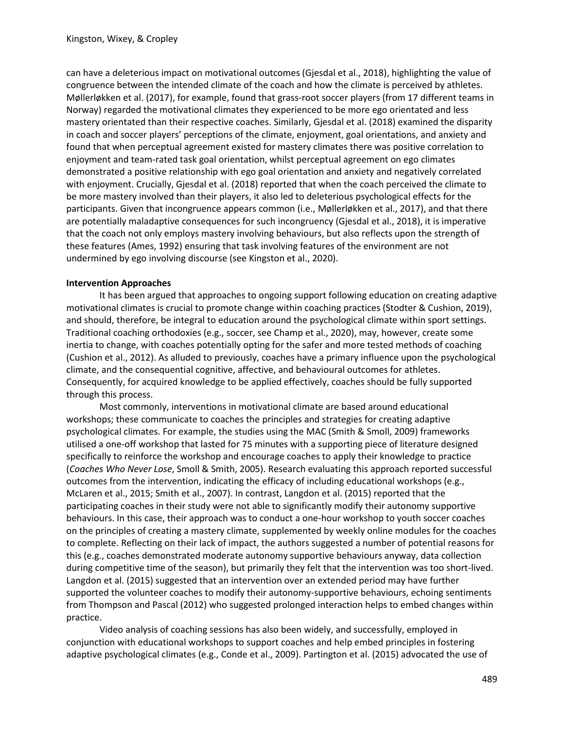can have a deleterious impact on motivational outcomes (Gjesdal et al., 2018), highlighting the value of congruence between the intended climate of the coach and how the climate is perceived by athletes. Møllerløkken et al. (2017), for example, found that grass-root soccer players (from 17 different teams in Norway) regarded the motivational climates they experienced to be more ego orientated and less mastery orientated than their respective coaches. Similarly, Gjesdal et al. (2018) examined the disparity in coach and soccer players' perceptions of the climate, enjoyment, goal orientations, and anxiety and found that when perceptual agreement existed for mastery climates there was positive correlation to enjoyment and team-rated task goal orientation, whilst perceptual agreement on ego climates demonstrated a positive relationship with ego goal orientation and anxiety and negatively correlated with enjoyment. Crucially, Gjesdal et al. (2018) reported that when the coach perceived the climate to be more mastery involved than their players, it also led to deleterious psychological effects for the participants. Given that incongruence appears common (i.e., Møllerløkken et al., 2017), and that there are potentially maladaptive consequences for such incongruency (Gjesdal et al., 2018), it is imperative that the coach not only employs mastery involving behaviours, but also reflects upon the strength of these features (Ames, 1992) ensuring that task involving features of the environment are not undermined by ego involving discourse (see Kingston et al., 2020).

#### **Intervention Approaches**

It has been argued that approaches to ongoing support following education on creating adaptive motivational climates is crucial to promote change within coaching practices (Stodter & Cushion, 2019), and should, therefore, be integral to education around the psychological climate within sport settings. Traditional coaching orthodoxies (e.g., soccer, see Champ et al., 2020), may, however, create some inertia to change, with coaches potentially opting for the safer and more tested methods of coaching (Cushion et al., 2012). As alluded to previously, coaches have a primary influence upon the psychological climate, and the consequential cognitive, affective, and behavioural outcomes for athletes. Consequently, for acquired knowledge to be applied effectively, coaches should be fully supported through this process.

Most commonly, interventions in motivational climate are based around educational workshops; these communicate to coaches the principles and strategies for creating adaptive psychological climates. For example, the studies using the MAC (Smith & Smoll, 2009) frameworks utilised a one-off workshop that lasted for 75 minutes with a supporting piece of literature designed specifically to reinforce the workshop and encourage coaches to apply their knowledge to practice (*Coaches Who Never Lose*, Smoll & Smith, 2005). Research evaluating this approach reported successful outcomes from the intervention, indicating the efficacy of including educational workshops (e.g., McLaren et al., 2015; Smith et al., 2007). In contrast, Langdon et al. (2015) reported that the participating coaches in their study were not able to significantly modify their autonomy supportive behaviours. In this case, their approach was to conduct a one-hour workshop to youth soccer coaches on the principles of creating a mastery climate, supplemented by weekly online modules for the coaches to complete. Reflecting on their lack of impact, the authors suggested a number of potential reasons for this (e.g., coaches demonstrated moderate autonomy supportive behaviours anyway, data collection during competitive time of the season), but primarily they felt that the intervention was too short-lived. Langdon et al. (2015) suggested that an intervention over an extended period may have further supported the volunteer coaches to modify their autonomy-supportive behaviours, echoing sentiments from Thompson and Pascal (2012) who suggested prolonged interaction helps to embed changes within practice.

Video analysis of coaching sessions has also been widely, and successfully, employed in conjunction with educational workshops to support coaches and help embed principles in fostering adaptive psychological climates (e.g., Conde et al., 2009). Partington et al. (2015) advocated the use of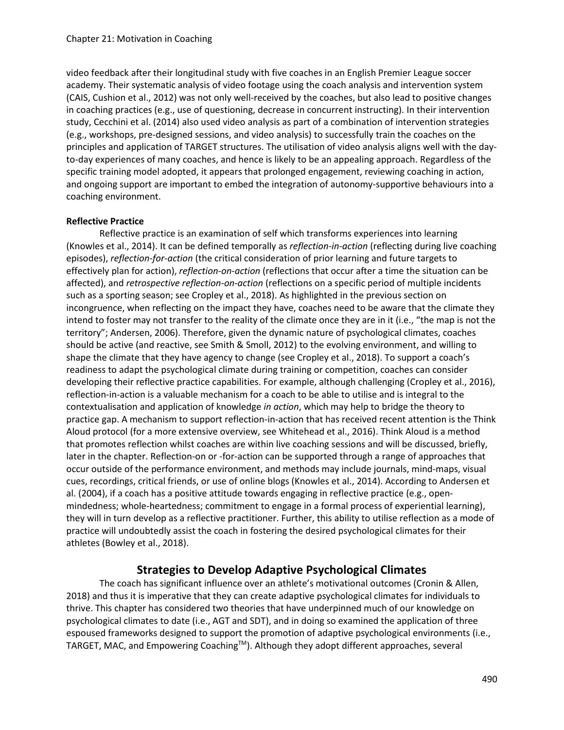video feedback after their longitudinal study with five coaches in an English Premier League soccer academy. Their systematic analysis of video footage using the coach analysis and intervention system (CAIS, Cushion et al., 2012) was not only well-received by the coaches, but also lead to positive changes in coaching practices (e.g., use of questioning, decrease in concurrent instructing). In their intervention study, Cecchini et al. (2014) also used video analysis as part of a combination of intervention strategies (e.g., workshops, pre-designed sessions, and video analysis) to successfully train the coaches on the principles and application of TARGET structures. The utilisation of video analysis aligns well with the dayto-day experiences of many coaches, and hence is likely to be an appealing approach. Regardless of the specific training model adopted, it appears that prolonged engagement, reviewing coaching in action, and ongoing support are important to embed the integration of autonomy-supportive behaviours into a coaching environment.

#### **Reflective Practice**

Reflective practice is an examination of self which transforms experiences into learning (Knowles et al., 2014). It can be defined temporally as *reflection-in-action* (reflecting during live coaching episodes), *reflection-for-action* (the critical consideration of prior learning and future targets to effectively plan for action), *reflection-on-action* (reflections that occur after a time the situation can be affected), and *retrospective reflection-on-action* (reflections on a specific period of multiple incidents such as a sporting season; see Cropley et al., 2018). As highlighted in the previous section on incongruence, when reflecting on the impact they have, coaches need to be aware that the climate they intend to foster may not transfer to the reality of the climate once they are in it (i.e., "the map is not the territory"; Andersen, 2006). Therefore, given the dynamic nature of psychological climates, coaches should be active (and reactive, see Smith & Smoll, 2012) to the evolving environment, and willing to shape the climate that they have agency to change (see Cropley et al., 2018). To support a coach's readiness to adapt the psychological climate during training or competition, coaches can consider developing their reflective practice capabilities. For example, although challenging (Cropley et al., 2016), reflection-in-action is a valuable mechanism for a coach to be able to utilise and is integral to the contextualisation and application of knowledge *in action*, which may help to bridge the theory to practice gap. A mechanism to support reflection-in-action that has received recent attention is the Think Aloud protocol (for a more extensive overview, see Whitehead et al., 2016). Think Aloud is a method that promotes reflection whilst coaches are within live coaching sessions and will be discussed, briefly, later in the chapter. Reflection-on or -for-action can be supported through a range of approaches that occur outside of the performance environment, and methods may include journals, mind-maps, visual cues, recordings, critical friends, or use of online blogs (Knowles et al., 2014). According to Andersen et al. (2004), if a coach has a positive attitude towards engaging in reflective practice (e.g., openmindedness; whole-heartedness; commitment to engage in a formal process of experiential learning), they will in turn develop as a reflective practitioner. Further, this ability to utilise reflection as a mode of practice will undoubtedly assist the coach in fostering the desired psychological climates for their athletes (Bowley et al., 2018).

# **Strategies to Develop Adaptive Psychological Climates**

The coach has significant influence over an athlete's motivational outcomes (Cronin & Allen, 2018) and thus it is imperative that they can create adaptive psychological climates for individuals to thrive. This chapter has considered two theories that have underpinned much of our knowledge on psychological climates to date (i.e., AGT and SDT), and in doing so examined the application of three espoused frameworks designed to support the promotion of adaptive psychological environments (i.e., TARGET, MAC, and Empowering Coaching™). Although they adopt different approaches, several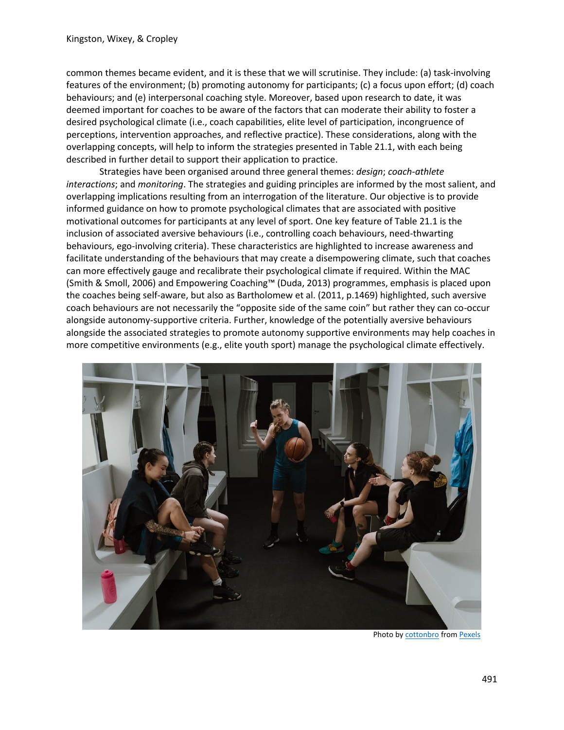common themes became evident, and it is these that we will scrutinise. They include: (a) task-involving features of the environment; (b) promoting autonomy for participants; (c) a focus upon effort; (d) coach behaviours; and (e) interpersonal coaching style. Moreover, based upon research to date, it was deemed important for coaches to be aware of the factors that can moderate their ability to foster a desired psychological climate (i.e., coach capabilities, elite level of participation, incongruence of perceptions, intervention approaches, and reflective practice). These considerations, along with the overlapping concepts, will help to inform the strategies presented in Table 21.1, with each being described in further detail to support their application to practice.

Strategies have been organised around three general themes: *design*; *coach-athlete interactions*; and *monitoring*. The strategies and guiding principles are informed by the most salient, and overlapping implications resulting from an interrogation of the literature. Our objective is to provide informed guidance on how to promote psychological climates that are associated with positive motivational outcomes for participants at any level of sport. One key feature of Table 21.1 is the inclusion of associated aversive behaviours (i.e., controlling coach behaviours, need-thwarting behaviours, ego-involving criteria). These characteristics are highlighted to increase awareness and facilitate understanding of the behaviours that may create a disempowering climate, such that coaches can more effectively gauge and recalibrate their psychological climate if required. Within the MAC (Smith & Smoll, 2006) and Empowering Coaching™ (Duda, 2013) programmes, emphasis is placed upon the coaches being self-aware, but also as Bartholomew et al. (2011, p.1469) highlighted, such aversive coach behaviours are not necessarily the "opposite side of the same coin" but rather they can co-occur alongside autonomy-supportive criteria. Further, knowledge of the potentially aversive behaviours alongside the associated strategies to promote autonomy supportive environments may help coaches in more competitive environments (e.g., elite youth sport) manage the psychological climate effectively.



Photo b[y cottonbro](https://www.pexels.com/@cottonbro?utm_content=attributionCopyText&utm_medium=referral&utm_source=pexels) fro[m Pexels](https://www.pexels.com/photo/fashion-man-people-woman-6764627/?utm_content=attributionCopyText&utm_medium=referral&utm_source=pexels)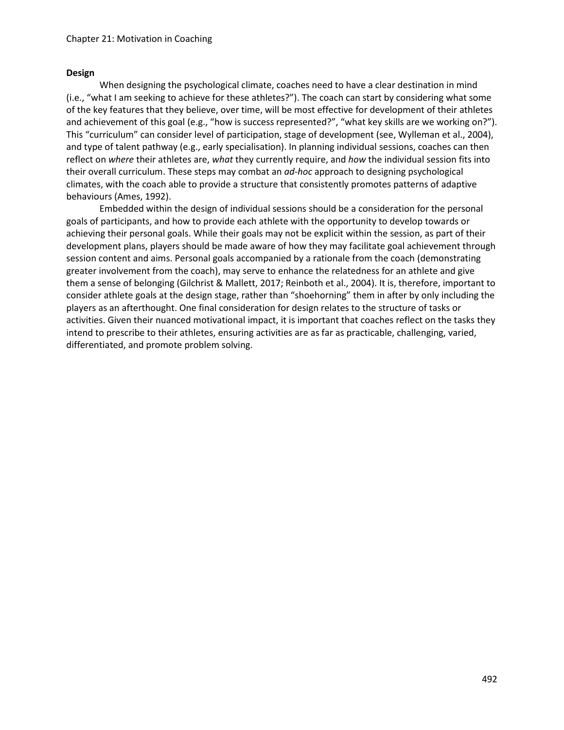#### **Design**

When designing the psychological climate, coaches need to have a clear destination in mind (i.e., "what I am seeking to achieve for these athletes?"). The coach can start by considering what some of the key features that they believe, over time, will be most effective for development of their athletes and achievement of this goal (e.g., "how is success represented?", "what key skills are we working on?"). This "curriculum" can consider level of participation, stage of development (see, Wylleman et al., 2004), and type of talent pathway (e.g., early specialisation). In planning individual sessions, coaches can then reflect on *where* their athletes are, *what* they currently require, and *how* the individual session fits into their overall curriculum. These steps may combat an *ad-hoc* approach to designing psychological climates, with the coach able to provide a structure that consistently promotes patterns of adaptive behaviours (Ames, 1992).

Embedded within the design of individual sessions should be a consideration for the personal goals of participants, and how to provide each athlete with the opportunity to develop towards or achieving their personal goals. While their goals may not be explicit within the session, as part of their development plans, players should be made aware of how they may facilitate goal achievement through session content and aims. Personal goals accompanied by a rationale from the coach (demonstrating greater involvement from the coach), may serve to enhance the relatedness for an athlete and give them a sense of belonging (Gilchrist & Mallett, 2017; Reinboth et al., 2004). It is, therefore, important to consider athlete goals at the design stage, rather than "shoehorning" them in after by only including the players as an afterthought. One final consideration for design relates to the structure of tasks or activities. Given their nuanced motivational impact, it is important that coaches reflect on the tasks they intend to prescribe to their athletes, ensuring activities are as far as practicable, challenging, varied, differentiated, and promote problem solving.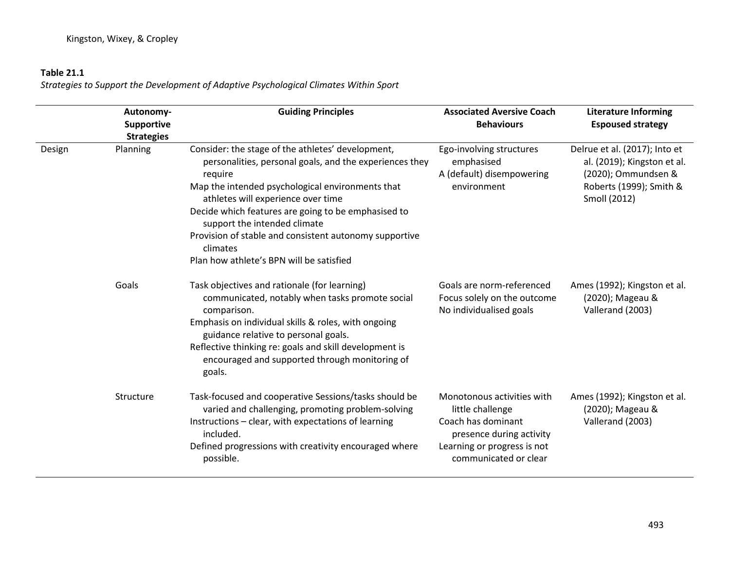# **Table 21.1**

*Strategies to Support the Development of Adaptive Psychological Climates Within Sport*

|        | Autonomy-<br><b>Supportive</b><br><b>Strategies</b> | <b>Guiding Principles</b>                                                                                                                                                                                                                                                                                                                                                                                                  | <b>Associated Aversive Coach</b><br><b>Behaviours</b>                                                                                                    | <b>Literature Informing</b><br><b>Espoused strategy</b>                                                                        |
|--------|-----------------------------------------------------|----------------------------------------------------------------------------------------------------------------------------------------------------------------------------------------------------------------------------------------------------------------------------------------------------------------------------------------------------------------------------------------------------------------------------|----------------------------------------------------------------------------------------------------------------------------------------------------------|--------------------------------------------------------------------------------------------------------------------------------|
| Design | Planning                                            | Consider: the stage of the athletes' development,<br>personalities, personal goals, and the experiences they<br>require<br>Map the intended psychological environments that<br>athletes will experience over time<br>Decide which features are going to be emphasised to<br>support the intended climate<br>Provision of stable and consistent autonomy supportive<br>climates<br>Plan how athlete's BPN will be satisfied | Ego-involving structures<br>emphasised<br>A (default) disempowering<br>environment                                                                       | Delrue et al. (2017); Into et<br>al. (2019); Kingston et al.<br>(2020); Ommundsen &<br>Roberts (1999); Smith &<br>Smoll (2012) |
|        | Goals                                               | Task objectives and rationale (for learning)<br>communicated, notably when tasks promote social<br>comparison.<br>Emphasis on individual skills & roles, with ongoing<br>guidance relative to personal goals.<br>Reflective thinking re: goals and skill development is<br>encouraged and supported through monitoring of<br>goals.                                                                                        | Goals are norm-referenced<br>Focus solely on the outcome<br>No individualised goals                                                                      | Ames (1992); Kingston et al.<br>(2020); Mageau &<br>Vallerand (2003)                                                           |
|        | Structure                                           | Task-focused and cooperative Sessions/tasks should be<br>varied and challenging, promoting problem-solving<br>Instructions - clear, with expectations of learning<br>included.<br>Defined progressions with creativity encouraged where<br>possible.                                                                                                                                                                       | Monotonous activities with<br>little challenge<br>Coach has dominant<br>presence during activity<br>Learning or progress is not<br>communicated or clear | Ames (1992); Kingston et al.<br>(2020); Mageau &<br>Vallerand (2003)                                                           |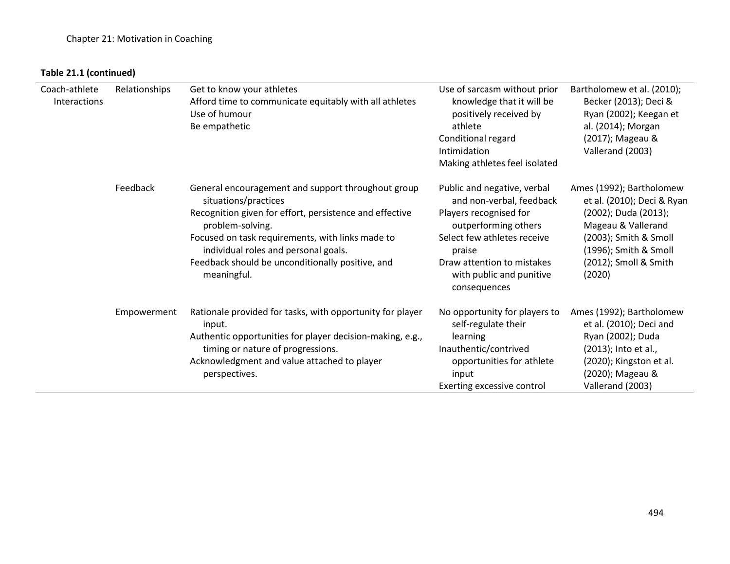## **Table 21.1 (continued)**

| Coach-athlete<br>Interactions | Relationships | Get to know your athletes<br>Afford time to communicate equitably with all athletes<br>Use of humour<br>Be empathetic                                                                                                                                                                                                    | Use of sarcasm without prior<br>knowledge that it will be<br>positively received by<br>athlete<br>Conditional regard<br>Intimidation<br>Making athletes feel isolated                                                        | Bartholomew et al. (2010);<br>Becker (2013); Deci &<br>Ryan (2002); Keegan et<br>al. (2014); Morgan<br>(2017); Mageau &<br>Vallerand (2003)                                               |
|-------------------------------|---------------|--------------------------------------------------------------------------------------------------------------------------------------------------------------------------------------------------------------------------------------------------------------------------------------------------------------------------|------------------------------------------------------------------------------------------------------------------------------------------------------------------------------------------------------------------------------|-------------------------------------------------------------------------------------------------------------------------------------------------------------------------------------------|
|                               | Feedback      | General encouragement and support throughout group<br>situations/practices<br>Recognition given for effort, persistence and effective<br>problem-solving.<br>Focused on task requirements, with links made to<br>individual roles and personal goals.<br>Feedback should be unconditionally positive, and<br>meaningful. | Public and negative, verbal<br>and non-verbal, feedback<br>Players recognised for<br>outperforming others<br>Select few athletes receive<br>praise<br>Draw attention to mistakes<br>with public and punitive<br>consequences | Ames (1992); Bartholomew<br>et al. (2010); Deci & Ryan<br>(2002); Duda (2013);<br>Mageau & Vallerand<br>(2003); Smith & Smoll<br>(1996); Smith & Smoll<br>(2012); Smoll & Smith<br>(2020) |
|                               | Empowerment   | Rationale provided for tasks, with opportunity for player<br>input.<br>Authentic opportunities for player decision-making, e.g.,<br>timing or nature of progressions.<br>Acknowledgment and value attached to player<br>perspectives.                                                                                    | No opportunity for players to<br>self-regulate their<br>learning<br>Inauthentic/contrived<br>opportunities for athlete<br>input<br>Exerting excessive control                                                                | Ames (1992); Bartholomew<br>et al. (2010); Deci and<br>Ryan (2002); Duda<br>(2013); Into et al.,<br>(2020); Kingston et al.<br>(2020); Mageau &<br>Vallerand (2003)                       |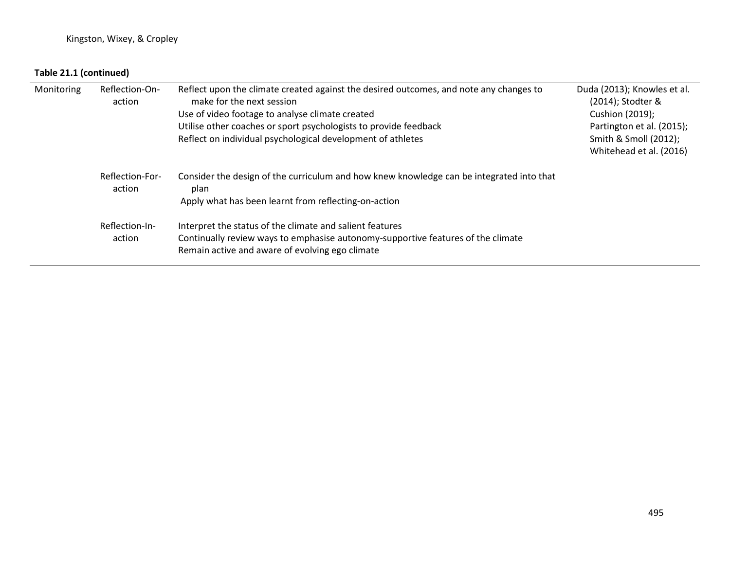# **Table 21.1 (continued)**

| Monitoring | Reflection-On-<br>action  | Reflect upon the climate created against the desired outcomes, and note any changes to<br>make for the next session<br>Use of video footage to analyse climate created<br>Utilise other coaches or sport psychologists to provide feedback<br>Reflect on individual psychological development of athletes | Duda (2013); Knowles et al.<br>(2014); Stodter &<br>Cushion (2019);<br>Partington et al. (2015);<br>Smith & Smoll (2012);<br>Whitehead et al. (2016) |
|------------|---------------------------|-----------------------------------------------------------------------------------------------------------------------------------------------------------------------------------------------------------------------------------------------------------------------------------------------------------|------------------------------------------------------------------------------------------------------------------------------------------------------|
|            | Reflection-For-<br>action | Consider the design of the curriculum and how knew knowledge can be integrated into that<br>plan<br>Apply what has been learnt from reflecting-on-action                                                                                                                                                  |                                                                                                                                                      |
|            | Reflection-In-<br>action  | Interpret the status of the climate and salient features<br>Continually review ways to emphasise autonomy-supportive features of the climate<br>Remain active and aware of evolving ego climate                                                                                                           |                                                                                                                                                      |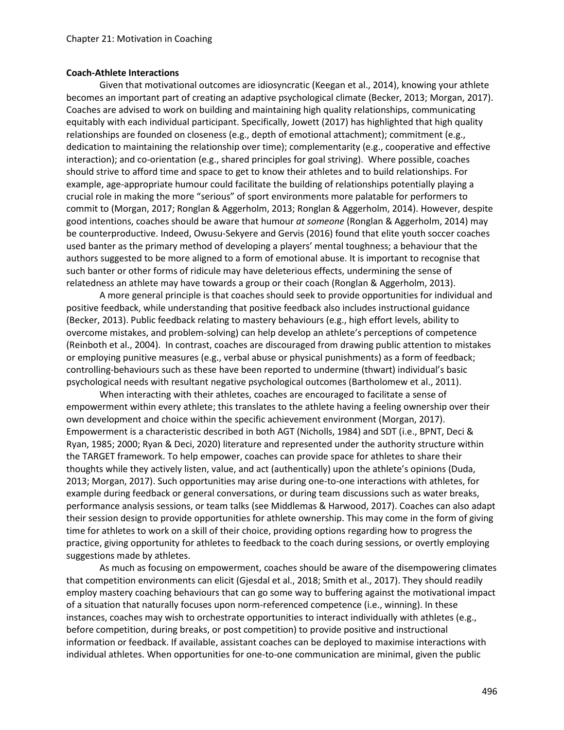#### **Coach-Athlete Interactions**

Given that motivational outcomes are idiosyncratic (Keegan et al., 2014), knowing your athlete becomes an important part of creating an adaptive psychological climate (Becker, 2013; Morgan, 2017). Coaches are advised to work on building and maintaining high quality relationships, communicating equitably with each individual participant. Specifically, Jowett (2017) has highlighted that high quality relationships are founded on closeness (e.g., depth of emotional attachment); commitment (e.g., dedication to maintaining the relationship over time); complementarity (e.g., cooperative and effective interaction); and co-orientation (e.g., shared principles for goal striving). Where possible, coaches should strive to afford time and space to get to know their athletes and to build relationships. For example, age-appropriate humour could facilitate the building of relationships potentially playing a crucial role in making the more "serious" of sport environments more palatable for performers to commit to (Morgan, 2017; Ronglan & Aggerholm, 2013; Ronglan & Aggerholm, 2014). However, despite good intentions, coaches should be aware that humour *at someone* (Ronglan & Aggerholm, 2014) may be counterproductive. Indeed, Owusu-Sekyere and Gervis (2016) found that elite youth soccer coaches used banter as the primary method of developing a players' mental toughness; a behaviour that the authors suggested to be more aligned to a form of emotional abuse. It is important to recognise that such banter or other forms of ridicule may have deleterious effects, undermining the sense of relatedness an athlete may have towards a group or their coach (Ronglan & Aggerholm, 2013).

A more general principle is that coaches should seek to provide opportunities for individual and positive feedback, while understanding that positive feedback also includes instructional guidance (Becker, 2013). Public feedback relating to mastery behaviours (e.g., high effort levels, ability to overcome mistakes, and problem-solving) can help develop an athlete's perceptions of competence (Reinboth et al., 2004). In contrast, coaches are discouraged from drawing public attention to mistakes or employing punitive measures (e.g., verbal abuse or physical punishments) as a form of feedback; controlling-behaviours such as these have been reported to undermine (thwart) individual's basic psychological needs with resultant negative psychological outcomes (Bartholomew et al., 2011).

When interacting with their athletes, coaches are encouraged to facilitate a sense of empowerment within every athlete; this translates to the athlete having a feeling ownership over their own development and choice within the specific achievement environment (Morgan, 2017). Empowerment is a characteristic described in both AGT (Nicholls, 1984) and SDT (i.e., BPNT, Deci & Ryan, 1985; 2000; Ryan & Deci, 2020) literature and represented under the authority structure within the TARGET framework. To help empower, coaches can provide space for athletes to share their thoughts while they actively listen, value, and act (authentically) upon the athlete's opinions (Duda, 2013; Morgan, 2017). Such opportunities may arise during one-to-one interactions with athletes, for example during feedback or general conversations, or during team discussions such as water breaks, performance analysis sessions, or team talks (see Middlemas & Harwood, 2017). Coaches can also adapt their session design to provide opportunities for athlete ownership. This may come in the form of giving time for athletes to work on a skill of their choice, providing options regarding how to progress the practice, giving opportunity for athletes to feedback to the coach during sessions, or overtly employing suggestions made by athletes.

As much as focusing on empowerment, coaches should be aware of the disempowering climates that competition environments can elicit (Gjesdal et al., 2018; Smith et al., 2017). They should readily employ mastery coaching behaviours that can go some way to buffering against the motivational impact of a situation that naturally focuses upon norm-referenced competence (i.e., winning). In these instances, coaches may wish to orchestrate opportunities to interact individually with athletes (e.g., before competition, during breaks, or post competition) to provide positive and instructional information or feedback. If available, assistant coaches can be deployed to maximise interactions with individual athletes. When opportunities for one-to-one communication are minimal, given the public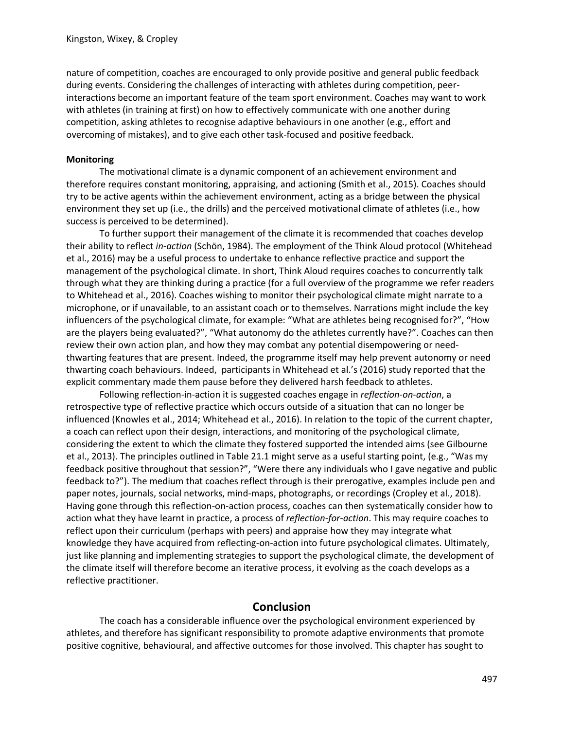nature of competition, coaches are encouraged to only provide positive and general public feedback during events. Considering the challenges of interacting with athletes during competition, peerinteractions become an important feature of the team sport environment. Coaches may want to work with athletes (in training at first) on how to effectively communicate with one another during competition, asking athletes to recognise adaptive behaviours in one another (e.g., effort and overcoming of mistakes), and to give each other task-focused and positive feedback.

#### **Monitoring**

The motivational climate is a dynamic component of an achievement environment and therefore requires constant monitoring, appraising, and actioning (Smith et al., 2015). Coaches should try to be active agents within the achievement environment, acting as a bridge between the physical environment they set up (i.e., the drills) and the perceived motivational climate of athletes (i.e., how success is perceived to be determined).

To further support their management of the climate it is recommended that coaches develop their ability to reflect *in-action* (Schön, 1984). The employment of the Think Aloud protocol (Whitehead et al., 2016) may be a useful process to undertake to enhance reflective practice and support the management of the psychological climate. In short, Think Aloud requires coaches to concurrently talk through what they are thinking during a practice (for a full overview of the programme we refer readers to Whitehead et al., 2016). Coaches wishing to monitor their psychological climate might narrate to a microphone, or if unavailable, to an assistant coach or to themselves. Narrations might include the key influencers of the psychological climate, for example: "What are athletes being recognised for?", "How are the players being evaluated?", "What autonomy do the athletes currently have?". Coaches can then review their own action plan, and how they may combat any potential disempowering or needthwarting features that are present. Indeed, the programme itself may help prevent autonomy or need thwarting coach behaviours. Indeed, participants in Whitehead et al.'s (2016) study reported that the explicit commentary made them pause before they delivered harsh feedback to athletes.

Following reflection-in-action it is suggested coaches engage in *reflection-on-action*, a retrospective type of reflective practice which occurs outside of a situation that can no longer be influenced (Knowles et al., 2014; Whitehead et al., 2016). In relation to the topic of the current chapter, a coach can reflect upon their design, interactions, and monitoring of the psychological climate, considering the extent to which the climate they fostered supported the intended aims (see Gilbourne et al., 2013). The principles outlined in Table 21.1 might serve as a useful starting point, (e.g., "Was my feedback positive throughout that session?", "Were there any individuals who I gave negative and public feedback to?"). The medium that coaches reflect through is their prerogative, examples include pen and paper notes, journals, social networks, mind-maps, photographs, or recordings (Cropley et al., 2018). Having gone through this reflection-on-action process, coaches can then systematically consider how to action what they have learnt in practice, a process of *reflection-for-action*. This may require coaches to reflect upon their curriculum (perhaps with peers) and appraise how they may integrate what knowledge they have acquired from reflecting-on-action into future psychological climates. Ultimately, just like planning and implementing strategies to support the psychological climate, the development of the climate itself will therefore become an iterative process, it evolving as the coach develops as a reflective practitioner.

#### **Conclusion**

The coach has a considerable influence over the psychological environment experienced by athletes, and therefore has significant responsibility to promote adaptive environments that promote positive cognitive, behavioural, and affective outcomes for those involved. This chapter has sought to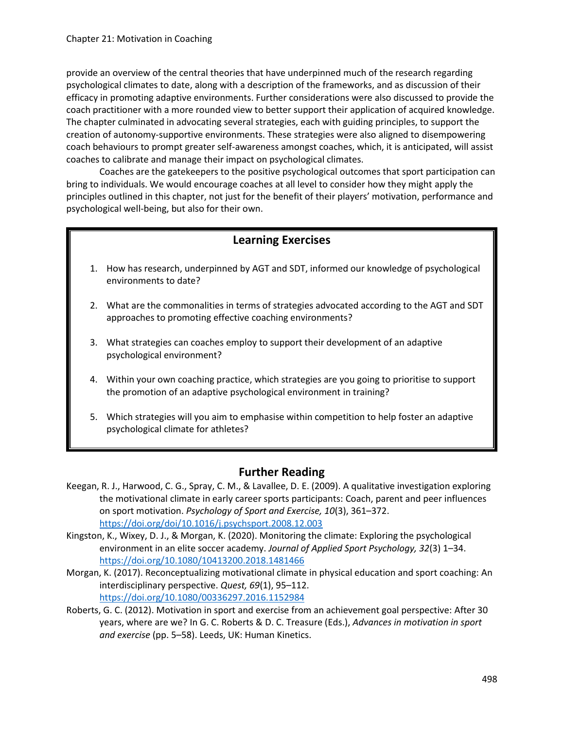provide an overview of the central theories that have underpinned much of the research regarding psychological climates to date, along with a description of the frameworks, and as discussion of their efficacy in promoting adaptive environments. Further considerations were also discussed to provide the coach practitioner with a more rounded view to better support their application of acquired knowledge. The chapter culminated in advocating several strategies, each with guiding principles, to support the creation of autonomy-supportive environments. These strategies were also aligned to disempowering coach behaviours to prompt greater self-awareness amongst coaches, which, it is anticipated, will assist coaches to calibrate and manage their impact on psychological climates.

Coaches are the gatekeepers to the positive psychological outcomes that sport participation can bring to individuals. We would encourage coaches at all level to consider how they might apply the principles outlined in this chapter, not just for the benefit of their players' motivation, performance and psychological well-being, but also for their own.

# **Learning Exercises**

- 1. How has research, underpinned by AGT and SDT, informed our knowledge of psychological environments to date?
- 2. What are the commonalities in terms of strategies advocated according to the AGT and SDT approaches to promoting effective coaching environments?
- 3. What strategies can coaches employ to support their development of an adaptive psychological environment?
- 4. Within your own coaching practice, which strategies are you going to prioritise to support the promotion of an adaptive psychological environment in training?
- 5. Which strategies will you aim to emphasise within competition to help foster an adaptive psychological climate for athletes?

# **Further Reading**

- Keegan, R. J., Harwood, C. G., Spray, C. M., & Lavallee, D. E. (2009). A qualitative investigation exploring the motivational climate in early career sports participants: Coach, parent and peer influences on sport motivation. *Psychology of Sport and Exercise, 10*(3), 361–372. <https://doi.org/doi/10.1016/j.psychsport.2008.12.003>
- Kingston, K., Wixey, D. J., & Morgan, K. (2020). Monitoring the climate: Exploring the psychological environment in an elite soccer academy. *Journal of Applied Sport Psychology, 32*(3) 1–34. <https://doi.org/10.1080/10413200.2018.1481466>
- Morgan, K. (2017). Reconceptualizing motivational climate in physical education and sport coaching: An interdisciplinary perspective. *Quest, 69*(1), 95–112. <https://doi.org/10.1080/00336297.2016.1152984>
- Roberts, G. C. (2012). Motivation in sport and exercise from an achievement goal perspective: After 30 years, where are we? In G. C. Roberts & D. C. Treasure (Eds.), *Advances in motivation in sport and exercise* (pp. 5–58). Leeds, UK: Human Kinetics.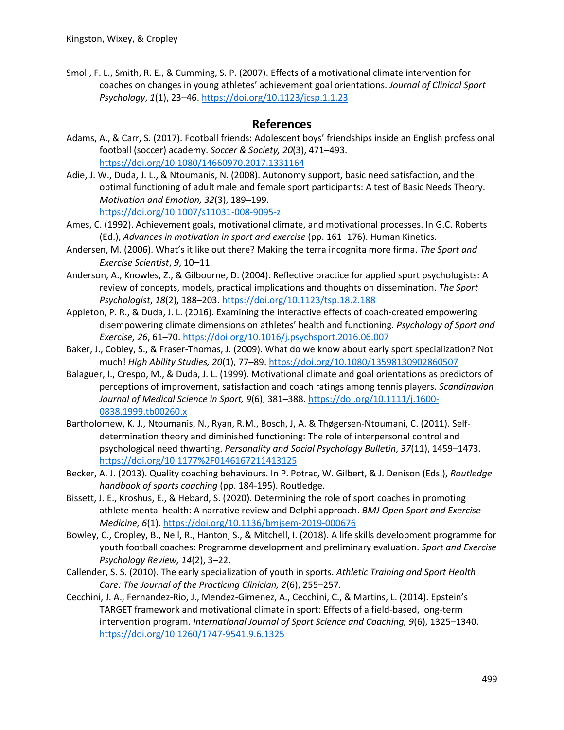Smoll, F. L., Smith, R. E., & Cumming, S. P. (2007). Effects of a motivational climate intervention for coaches on changes in young athletes' achievement goal orientations. *Journal of Clinical Sport Psychology*, *1*(1), 23–46.<https://doi.org/10.1123/jcsp.1.1.23>

## **References**

- Adams, A., & Carr, S. (2017). Football friends: Adolescent boys' friendships inside an English professional football (soccer) academy. *Soccer & Society, 20*(3), 471–493. <https://doi.org/10.1080/14660970.2017.1331164>
- Adie, J. W., Duda, J. L., & Ntoumanis, N. (2008). Autonomy support, basic need satisfaction, and the optimal functioning of adult male and female sport participants: A test of Basic Needs Theory. *Motivation and Emotion, 32*(3), 189–199. <https://doi.org/10.1007/s11031-008-9095-z>
- Ames, C. (1992). Achievement goals, motivational climate, and motivational processes. In G.C. Roberts (Ed.), *Advances in motivation in sport and exercise* (pp. 161–176). Human Kinetics.
- Andersen, M. (2006). What's it like out there? Making the terra incognita more firma. *The Sport and Exercise Scientist*, *9*, 10–11.
- Anderson, A., Knowles, Z., & Gilbourne, D. (2004). Reflective practice for applied sport psychologists: A review of concepts, models, practical implications and thoughts on dissemination. *The Sport Psychologist*, *18*(2), 188–203.<https://doi.org/10.1123/tsp.18.2.188>
- Appleton, P. R., & Duda, J. L. (2016). Examining the interactive effects of coach-created empowering disempowering climate dimensions on athletes' health and functioning. *Psychology of Sport and Exercise, 26*, 61–70[. https://doi.org/10.1016/j.psychsport.2016.06.007](https://doi.org/10.1016/j.psychsport.2016.06.007)
- Baker, J., Cobley, S., & Fraser-Thomas, J. (2009). What do we know about early sport specialization? Not much! *High Ability Studies, 20*(1), 77–89.<https://doi.org/10.1080/13598130902860507>
- Balaguer, I., Crespo, M., & Duda, J. L. (1999). Motivational climate and goal orientations as predictors of perceptions of improvement, satisfaction and coach ratings among tennis players. *Scandinavian Journal of Medical Science in Sport, 9*(6), 381–388[. https://doi.org/10.1111/j.1600-](https://doi.org/10.1111/j.1600-0838.1999.tb00260.x) [0838.1999.tb00260.x](https://doi.org/10.1111/j.1600-0838.1999.tb00260.x)
- Bartholomew, K. J., Ntoumanis, N., Ryan, R.M., Bosch, J, A. & Thøgersen-Ntoumani, C. (2011). Selfdetermination theory and diminished functioning: The role of interpersonal control and psychological need thwarting. *Personality and Social Psychology Bulletin*, *37*(11), 1459–1473. <https://doi.org/10.1177%2F0146167211413125>
- Becker, A. J. (2013). Quality coaching behaviours. In P. Potrac, W. Gilbert, & J. Denison (Eds.), *Routledge handbook of sports coaching* (pp. 184-195). Routledge.
- Bissett, J. E., Kroshus, E., & Hebard, S. (2020). Determining the role of sport coaches in promoting athlete mental health: A narrative review and Delphi approach. *BMJ Open Sport and Exercise Medicine, 6*(1).<https://doi.org/10.1136/bmjsem-2019-000676>
- Bowley, C., Cropley, B., Neil, R., Hanton, S., & Mitchell, I. (2018). A life skills development programme for youth football coaches: Programme development and preliminary evaluation. *Sport and Exercise Psychology Review, 14*(2), 3–22.
- Callender, S. S. (2010). The early specialization of youth in sports. *Athletic Training and Sport Health Care: The Journal of the Practicing Clinician, 2*(6), 255–257.
- Cecchini, J. A., Fernandez-Rio, J., Mendez-Gimenez, A., Cecchini, C., & Martins, L. (2014). Epstein's TARGET framework and motivational climate in sport: Effects of a field-based, long-term intervention program. *International Journal of Sport Science and Coaching, 9*(6), 1325–1340. <https://doi.org/10.1260/1747-9541.9.6.1325>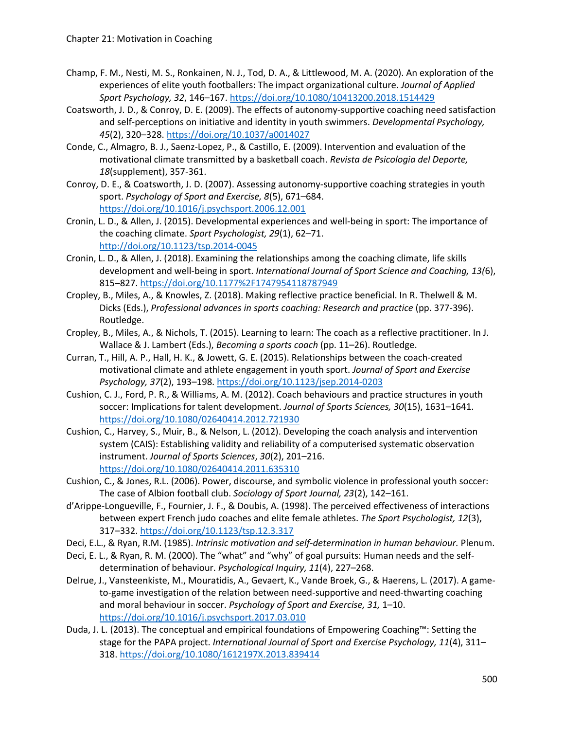- Champ, F. M., Nesti, M. S., Ronkainen, N. J., Tod, D. A., & Littlewood, M. A. (2020). An exploration of the experiences of elite youth footballers: The impact organizational culture. *Journal of Applied Sport Psychology, 32*, 146–167[. https://doi.org/10.1080/10413200.2018.1514429](https://doi.org/10.1080/10413200.2018.1514429)
- Coatsworth, J. D., & Conroy, D. E. (2009). The effects of autonomy-supportive coaching need satisfaction and self-perceptions on initiative and identity in youth swimmers. *Developmental Psychology, 45*(2), 320–328.<https://doi.org/10.1037/a0014027>
- Conde, C., Almagro, B. J., Saenz-Lopez, P., & Castillo, E. (2009). Intervention and evaluation of the motivational climate transmitted by a basketball coach. *Revista de Psicologia del Deporte, 18*(supplement), 357-361.
- Conroy, D. E., & Coatsworth, J. D. (2007). Assessing autonomy-supportive coaching strategies in youth sport. *Psychology of Sport and Exercise, 8*(5), 671–684. <https://doi.org/10.1016/j.psychsport.2006.12.001>
- Cronin, L. D., & Allen, J. (2015). Developmental experiences and well-being in sport: The importance of the coaching climate. *Sport Psychologist, 29*(1), 62–71. <http://doi.org/10.1123/tsp.2014-0045>
- Cronin, L. D., & Allen, J. (2018). Examining the relationships among the coaching climate, life skills development and well-being in sport. *International Journal of Sport Science and Coaching, 13(*6), 815–827.<https://doi.org/10.1177%2F1747954118787949>
- Cropley, B., Miles, A., & Knowles, Z. (2018). Making reflective practice beneficial. In R. Thelwell & M. Dicks (Eds.), *Professional advances in sports coaching: Research and practice* (pp. 377-396). Routledge.
- Cropley, B., Miles, A., & Nichols, T. (2015). Learning to learn: The coach as a reflective practitioner. In J. Wallace & J. Lambert (Eds.), *Becoming a sports coach* (pp. 11–26). Routledge.
- Curran, T., Hill, A. P., Hall, H. K., & Jowett, G. E. (2015). Relationships between the coach-created motivational climate and athlete engagement in youth sport. *Journal of Sport and Exercise Psychology, 37*(2), 193–198[. https://doi.org/10.1123/jsep.2014-0203](https://doi.org/10.1123/jsep.2014-0203)
- Cushion, C. J., Ford, P. R., & Williams, A. M. (2012). Coach behaviours and practice structures in youth soccer: Implications for talent development. *Journal of Sports Sciences, 30*(15), 1631–1641. <https://doi.org/10.1080/02640414.2012.721930>
- Cushion, C., Harvey, S., Muir, B., & Nelson, L. (2012). Developing the coach analysis and intervention system (CAIS): Establishing validity and reliability of a computerised systematic observation instrument. *Journal of Sports Sciences*, *30*(2), 201–216. <https://doi.org/10.1080/02640414.2011.635310>
- Cushion, C., & Jones, R.L. (2006). Power, discourse, and symbolic violence in professional youth soccer: The case of Albion football club. *Sociology of Sport Journal, 23*(2), 142–161.
- d'Arippe-Longueville, F., Fournier, J. F., & Doubis, A. (1998). The perceived effectiveness of interactions between expert French judo coaches and elite female athletes. *The Sport Psychologist, 12*(3), 317–332.<https://doi.org/10.1123/tsp.12.3.317>
- Deci, E.L., & Ryan, R.M. (1985). *Intrinsic motivation and self-determination in human behaviour.* Plenum.
- Deci, E. L., & Ryan, R. M. (2000). The "what" and "why" of goal pursuits: Human needs and the selfdetermination of behaviour. *Psychological Inquiry, 11*(4), 227–268.
- Delrue, J., Vansteenkiste, M., Mouratidis, A., Gevaert, K., Vande Broek, G., & Haerens, L. (2017). A gameto-game investigation of the relation between need-supportive and need-thwarting coaching and moral behaviour in soccer. *Psychology of Sport and Exercise, 31,* 1–10. <https://doi.org/10.1016/j.psychsport.2017.03.010>
- Duda, J. L. (2013). The conceptual and empirical foundations of Empowering Coaching™: Setting the stage for the PAPA project. *International Journal of Sport and Exercise Psychology, 11*(4), 311– 318.<https://doi.org/10.1080/1612197X.2013.839414>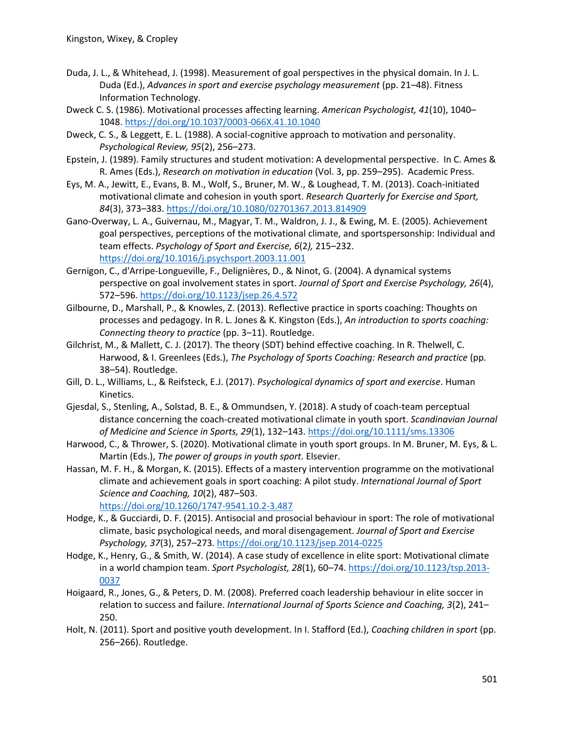- Duda, J. L., & Whitehead, J. (1998). Measurement of goal perspectives in the physical domain. In J. L. Duda (Ed.), *Advances in sport and exercise psychology measurement* (pp. 21–48). Fitness Information Technology.
- Dweck C. S. (1986). Motivational processes affecting learning. *American Psychologist, 41*(10), 1040– 1048[. https://doi.org/10.1037/0003-066X.41.10.1040](https://doi.org/10.1037/0003-066X.41.10.1040)
- Dweck, C. S., & Leggett, E. L. (1988). A social-cognitive approach to motivation and personality. *Psychological Review, 95*(2), 256–273.
- Epstein, J. (1989). Family structures and student motivation: A developmental perspective. In C. Ames & R. Ames (Eds.), *Research on motivation in education* (Vol. 3, pp. 259–295). Academic Press.
- Eys, M. A., Jewitt, E., Evans, B. M., Wolf, S., Bruner, M. W., & Loughead, T. M. (2013). Coach-initiated motivational climate and cohesion in youth sport. *Research Quarterly for Exercise and Sport, 84*(3), 373–383. <https://doi.org/10.1080/02701367.2013.814909>
- Gano-Overway, L. A., Guivernau, M., Magyar, T. M., Waldron, J. J., & Ewing, M. E. (2005). Achievement goal perspectives, perceptions of the motivational climate, and sportspersonship: Individual and team effects. *Psychology of Sport and Exercise, 6*(2*),* 215–232. <https://doi.org/10.1016/j.psychsport.2003.11.001>
- Gernigon, C., d'Arripe-Longueville, F., Delignières, D., & Ninot, G. (2004). A dynamical systems perspective on goal involvement states in sport. *Journal of Sport and Exercise Psychology, 26*(4), 572–596.<https://doi.org/10.1123/jsep.26.4.572>
- Gilbourne, D., Marshall, P., & Knowles, Z. (2013). Reflective practice in sports coaching: Thoughts on processes and pedagogy. In R. L. Jones & K. Kingston (Eds.), *An introduction to sports coaching: Connecting theory to practice* (pp. 3–11). Routledge.
- Gilchrist, M., & Mallett, C. J. (2017). The theory (SDT) behind effective coaching. In R. Thelwell, C. Harwood, & I. Greenlees (Eds.), *The Psychology of Sports Coaching: Research and practice* (pp. 38–54). Routledge.
- Gill, D. L., Williams, L., & Reifsteck, E.J. (2017). *Psychological dynamics of sport and exercise*. Human Kinetics.
- Gjesdal, S., Stenling, A., Solstad, B. E., & Ommundsen, Y. (2018). A study of coach-team perceptual distance concerning the coach-created motivational climate in youth sport. *Scandinavian Journal of Medicine and Science in Sports, 29*(1), 132–143. <https://doi.org/10.1111/sms.13306>
- Harwood, C., & Thrower, S. (2020). Motivational climate in youth sport groups. In M. Bruner, M. Eys, & L. Martin (Eds.), *The power of groups in youth sport.* Elsevier.
- Hassan, M. F. H., & Morgan, K. (2015). Effects of a mastery intervention programme on the motivational climate and achievement goals in sport coaching: A pilot study. *International Journal of Sport Science and Coaching, 10*(2), 487–503. <https://doi.org/10.1260/1747-9541.10.2-3.487>
- Hodge, K., & Gucciardi, D. F. (2015). Antisocial and prosocial behaviour in sport: The role of motivational climate, basic psychological needs, and moral disengagement. *Journal of Sport and Exercise*
- *Psychology, 37*(3), 257–273[. https://doi.org/10.1123/jsep.2014-0225](https://doi.org/10.1123/jsep.2014-0225) Hodge, K., Henry, G., & Smith, W. (2014). A case study of excellence in elite sport: Motivational climate in a world champion team. *Sport Psychologist, 28*(1), 60–74[. https://doi.org/10.1123/tsp.2013-](https://doi.org/10.1123/tsp.2013-0037) [0037](https://doi.org/10.1123/tsp.2013-0037)
- Hoigaard, R., Jones, G., & Peters, D. M. (2008). Preferred coach leadership behaviour in elite soccer in relation to success and failure. *International Journal of Sports Science and Coaching, 3*(2), 241– 250.
- Holt, N. (2011). Sport and positive youth development. In I. Stafford (Ed.), *Coaching children in sport* (pp. 256–266). Routledge.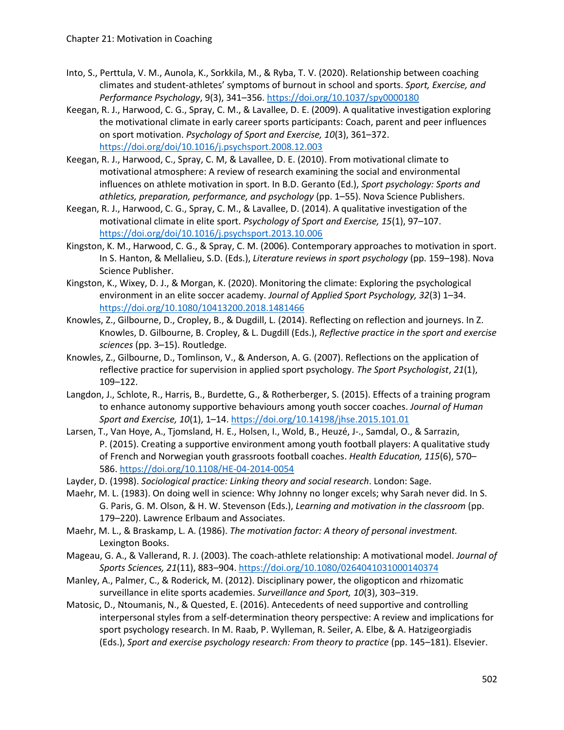- Into, S., Perttula, V. M., Aunola, K., Sorkkila, M., & Ryba, T. V. (2020). Relationship between coaching climates and student-athletes' symptoms of burnout in school and sports. *Sport, Exercise, and Performance Psychology*, 9(3), 341–356.<https://doi.org/10.1037/spy0000180>
- Keegan, R. J., Harwood, C. G., Spray, C. M., & Lavallee, D. E. (2009). A qualitative investigation exploring the motivational climate in early career sports participants: Coach, parent and peer influences on sport motivation. *Psychology of Sport and Exercise, 10*(3), 361–372. <https://doi.org/doi/10.1016/j.psychsport.2008.12.003>
- Keegan, R. J., Harwood, C., Spray, C. M, & Lavallee, D. E. (2010). From motivational climate to motivational atmosphere: A review of research examining the social and environmental influences on athlete motivation in sport. In B.D. Geranto (Ed.), *Sport psychology: Sports and athletics, preparation, performance, and psychology* (pp. 1–55). Nova Science Publishers.
- Keegan, R. J., Harwood, C. G., Spray, C. M., & Lavallee, D. (2014). A qualitative investigation of the motivational climate in elite sport. *Psychology of Sport and Exercise, 15*(1), 97–107. <https://doi.org/doi/10.1016/j.psychsport.2013.10.006>
- Kingston, K. M., Harwood, C. G., & Spray, C. M. (2006). Contemporary approaches to motivation in sport. In S. Hanton, & Mellalieu, S.D. (Eds.), *Literature reviews in sport psychology* (pp. 159–198). Nova Science Publisher.
- Kingston, K., Wixey, D. J., & Morgan, K. (2020). Monitoring the climate: Exploring the psychological environment in an elite soccer academy. *Journal of Applied Sport Psychology, 32*(3) 1–34. <https://doi.org/10.1080/10413200.2018.1481466>
- Knowles, Z., Gilbourne, D., Cropley, B., & Dugdill, L. (2014). Reflecting on reflection and journeys. In Z. Knowles, D. Gilbourne, B. Cropley, & L. Dugdill (Eds.), *Reflective practice in the sport and exercise sciences* (pp. 3–15). Routledge.
- Knowles, Z., Gilbourne, D., Tomlinson, V., & Anderson, A. G. (2007). Reflections on the application of reflective practice for supervision in applied sport psychology. *The Sport Psychologist*, *21*(1), 109–122.
- Langdon, J., Schlote, R., Harris, B., Burdette, G., & Rotherberger, S. (2015). Effects of a training program to enhance autonomy supportive behaviours among youth soccer coaches. *Journal of Human Sport and Exercise, 10*(1), 1–14.<https://doi.org/10.14198/jhse.2015.101.01>
- Larsen, T., Van Hoye, A., Tjomsland, H. E., Holsen, I., Wold, B., Heuzé, J-., Samdal, O., & Sarrazin, P. (2015). Creating a supportive environment among youth football players: A qualitative study of French and Norwegian youth grassroots football coaches. *Health Education, 115*(6), 570– 586. <https://doi.org/10.1108/HE-04-2014-0054>
- Layder, D. (1998). *Sociological practice: Linking theory and social research*. London: Sage.
- Maehr, M. L. (1983). On doing well in science: Why Johnny no longer excels; why Sarah never did. In S. G. Paris, G. M. Olson, & H. W. Stevenson (Eds.), *Learning and motivation in the classroom* (pp. 179–220). Lawrence Erlbaum and Associates.
- Maehr, M. L., & Braskamp, L. A. (1986). *The motivation factor: A theory of personal investment.* Lexington Books.
- Mageau, G. A., & Vallerand, R. J. (2003). The coach-athlete relationship: A motivational model. *Journal of Sports Sciences, 21*(11), 883–904.<https://doi.org/10.1080/0264041031000140374>
- Manley, A., Palmer, C., & Roderick, M. (2012). Disciplinary power, the oligopticon and rhizomatic surveillance in elite sports academies. *Surveillance and Sport, 10*(3), 303–319.
- Matosic, D., Ntoumanis, N., & Quested, E. (2016). Antecedents of need supportive and controlling interpersonal styles from a self-determination theory perspective: A review and implications for sport psychology research. In M. Raab, P. Wylleman, R. Seiler, A. Elbe, & A. Hatzigeorgiadis (Eds.), *Sport and exercise psychology research: From theory to practice* (pp. 145–181). Elsevier.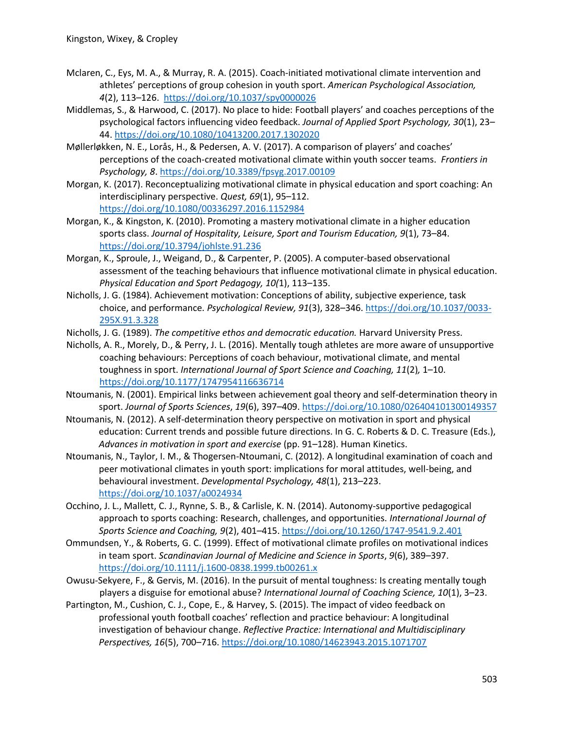- Mclaren, C., Eys, M. A., & Murray, R. A. (2015). Coach-initiated motivational climate intervention and athletes' perceptions of group cohesion in youth sport. *American Psychological Association, 4*(2), 113–126.<https://doi.org/10.1037/spy0000026>
- Middlemas, S., & Harwood, C. (2017). No place to hide: Football players' and coaches perceptions of the psychological factors influencing video feedback. *Journal of Applied Sport Psychology, 30*(1), 23– 44[. https://doi.org/10.1080/10413200.2017.1302020](https://doi.org/10.1080/10413200.2017.1302020)
- Møllerløkken, N. E., Lorås, H., & Pedersen, A. V. (2017). A comparison of players' and coaches' perceptions of the coach-created motivational climate within youth soccer teams. *Frontiers in Psychology, 8*[. https://doi.org/10.3389/fpsyg.2017.00109](https://doi.org/10.3389/fpsyg.2017.00109)
- Morgan, K. (2017). Reconceptualizing motivational climate in physical education and sport coaching: An interdisciplinary perspective. *Quest, 69*(1), 95–112. <https://doi.org/10.1080/00336297.2016.1152984>
- Morgan, K., & Kingston, K. (2010). Promoting a mastery motivational climate in a higher education sports class. *Journal of Hospitality, Leisure, Sport and Tourism Education, 9*(1), 73–84. <https://doi.org/10.3794/johlste.91.236>
- Morgan, K., Sproule, J., Weigand, D., & Carpenter, P. (2005). A computer-based observational assessment of the teaching behaviours that influence motivational climate in physical education. *Physical Education and Sport Pedagogy, 10(*1), 113–135.
- Nicholls, J. G. (1984). Achievement motivation: Conceptions of ability, subjective experience, task choice, and performance*. Psychological Review, 91*(3), 328–346. [https://doi.org/10.1037/0033-](https://doi.org/10.1037/0033-295X.91.3.328) [295X.91.3.328](https://doi.org/10.1037/0033-295X.91.3.328)
- Nicholls, J. G. (1989). *The competitive ethos and democratic education.* Harvard University Press.
- Nicholls, A. R., Morely, D., & Perry, J. L. (2016). Mentally tough athletes are more aware of unsupportive coaching behaviours: Perceptions of coach behaviour, motivational climate, and mental toughness in sport. *International Journal of Sport Science and Coaching, 11*(2)*,* 1–10. <https://doi.org/10.1177/1747954116636714>
- Ntoumanis, N. (2001). Empirical links between achievement goal theory and self-determination theory in sport. *Journal of Sports Sciences*, *19*(6), 397–409.<https://doi.org/10.1080/026404101300149357>
- Ntoumanis, N. (2012). A self-determination theory perspective on motivation in sport and physical education: Current trends and possible future directions. In G. C. Roberts & D. C. Treasure (Eds.), *Advances in motivation in sport and exercise* (pp. 91–128). Human Kinetics.
- Ntoumanis, N., Taylor, I. M., & Thogersen-Ntoumani, C. (2012). A longitudinal examination of coach and peer motivational climates in youth sport: implications for moral attitudes, well-being, and behavioural investment. *Developmental Psychology, 48*(1), 213–223. <https://doi.org/10.1037/a0024934>
- Occhino, J. L., Mallett, C. J., Rynne, S. B., & Carlisle, K. N. (2014). Autonomy-supportive pedagogical approach to sports coaching: Research, challenges, and opportunities. *International Journal of Sports Science and Coaching, 9*(2), 401–415.<https://doi.org/10.1260/1747-9541.9.2.401>
- Ommundsen, Y., & Roberts, G. C. (1999). Effect of motivational climate profiles on motivational indices in team sport. *Scandinavian Journal of Medicine and Science in Sports*, *9*(6), 389–397. <https://doi.org/10.1111/j.1600-0838.1999.tb00261.x>
- Owusu-Sekyere, F., & Gervis, M. (2016). In the pursuit of mental toughness: Is creating mentally tough players a disguise for emotional abuse? *International Journal of Coaching Science, 10*(1), 3–23.
- Partington, M., Cushion, C. J., Cope, E., & Harvey, S. (2015). The impact of video feedback on professional youth football coaches' reflection and practice behaviour: A longitudinal investigation of behaviour change. *Reflective Practice: International and Multidisciplinary Perspectives, 16*(5), 700–716[. https://doi.org/10.1080/14623943.2015.1071707](https://doi.org/10.1080/14623943.2015.1071707)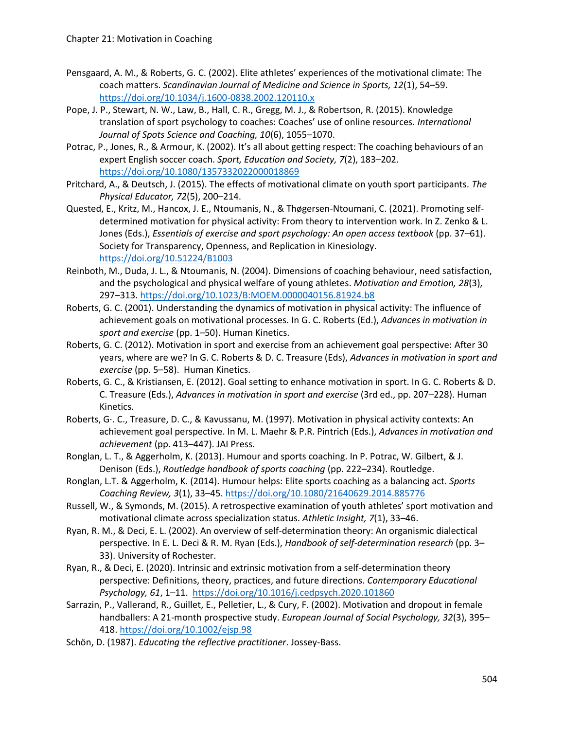- Pensgaard, A. M., & Roberts, G. C. (2002). Elite athletes' experiences of the motivational climate: The coach matters. *Scandinavian Journal of Medicine and Science in Sports, 12*(1), 54–59. <https://doi.org/10.1034/j.1600-0838.2002.120110.x>
- Pope, J. P., Stewart, N. W., Law, B., Hall, C. R., Gregg, M. J., & Robertson, R. (2015). Knowledge translation of sport psychology to coaches: Coaches' use of online resources. *International Journal of Spots Science and Coaching, 10*(6), 1055–1070.
- Potrac, P., Jones, R., & Armour, K. (2002). It's all about getting respect: The coaching behaviours of an expert English soccer coach. *Sport, Education and Society, 7*(2), 183–202. <https://doi.org/10.1080/1357332022000018869>
- Pritchard, A., & Deutsch, J. (2015). The effects of motivational climate on youth sport participants. *The Physical Educator, 72*(5), 200–214.
- Quested, E., Kritz, M., Hancox, J. E., Ntoumanis, N., & Thøgersen-Ntoumani, C. (2021). Promoting selfdetermined motivation for physical activity: From theory to intervention work. In Z. Zenko & L. Jones (Eds.), *Essentials of exercise and sport psychology: An open access textbook* (pp. 37–61). Society for Transparency, Openness, and Replication in Kinesiology. <https://doi.org/10.51224/B1003>
- Reinboth, M., Duda, J. L., & Ntoumanis, N. (2004). Dimensions of coaching behaviour, need satisfaction, and the psychological and physical welfare of young athletes. *Motivation and Emotion, 28*(3), 297–313.<https://doi.org/10.1023/B:MOEM.0000040156.81924.b8>
- Roberts, G. C. (2001). Understanding the dynamics of motivation in physical activity: The influence of achievement goals on motivational processes. In G. C. Roberts (Ed.), *Advances in motivation in sport and exercise* (pp. 1–50). Human Kinetics.
- Roberts, G. C. (2012). Motivation in sport and exercise from an achievement goal perspective: After 30 years, where are we? In G. C. Roberts & D. C. Treasure (Eds), *Advances in motivation in sport and exercise* (pp. 5–58). Human Kinetics.
- Roberts, G. C., & Kristiansen, E. (2012). Goal setting to enhance motivation in sport. In G. C. Roberts & D. C. Treasure (Eds.), *Advances in motivation in sport and exercise* (3rd ed., pp. 207–228). Human Kinetics.
- Roberts, G·. C., Treasure, D. C., & Kavussanu, M. (1997). Motivation in physical activity contexts: An achievement goal perspective. In M. L. Maehr & P.R. Pintrich (Eds.), *Advances in motivation and achievement* (pp. 413–447). JAI Press.
- Ronglan, L. T., & Aggerholm, K. (2013). Humour and sports coaching. In P. Potrac, W. Gilbert, & J. Denison (Eds.), *Routledge handbook of sports coaching* (pp. 222–234). Routledge.
- Ronglan, L.T. & Aggerholm, K. (2014). Humour helps: Elite sports coaching as a balancing act. *Sports Coaching Review, 3*(1), 33–45[. https://doi.org/10.1080/21640629.2014.885776](https://doi.org/10.1080/21640629.2014.885776)
- Russell, W., & Symonds, M. (2015). A retrospective examination of youth athletes' sport motivation and motivational climate across specialization status. *Athletic Insight, 7*(1), 33–46.
- Ryan, R. M., & Deci, E. L. (2002). An overview of self-determination theory: An organismic dialectical perspective. In E. L. Deci & R. M. Ryan (Eds.), *Handbook of self-determination research* (pp. 3– 33). University of Rochester.
- Ryan, R., & Deci, E. (2020). Intrinsic and extrinsic motivation from a self-determination theory perspective: Definitions, theory, practices, and future directions. *Contemporary Educational Psychology, 61*, 1–11. <https://doi.org/10.1016/j.cedpsych.2020.101860>
- Sarrazin, P., Vallerand, R., Guillet, E., Pelletier, L., & Cury, F. (2002). Motivation and dropout in female handballers: A 21-month prospective study. *European Journal of Social Psychology, 32*(3), 395– 418.<https://doi.org/10.1002/ejsp.98>
- Schön, D. (1987). *Educating the reflective practitioner*. Jossey-Bass.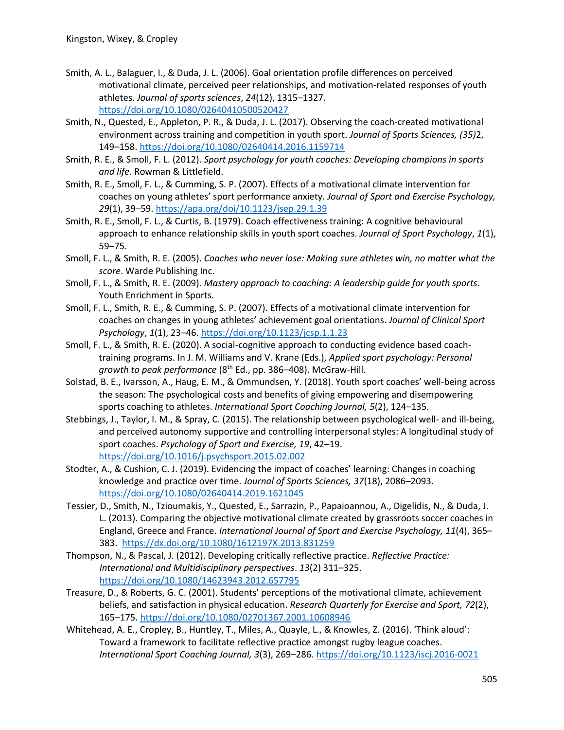- Smith, A. L., Balaguer, I., & Duda, J. L. (2006). Goal orientation profile differences on perceived motivational climate, perceived peer relationships, and motivation-related responses of youth athletes. *Journal of sports sciences*, *24*(12), 1315–1327. <https://doi.org/10.1080/02640410500520427>
- Smith, N., Quested, E., Appleton, P. R., & Duda, J. L. (2017). Observing the coach-created motivational environment across training and competition in youth sport. *Journal of Sports Sciences, (35)*2, 149–158[. https://doi.org/10.1080/02640414.2016.1159714](https://doi.org/10.1080/02640414.2016.1159714)
- Smith, R. E., & Smoll, F. L. (2012). *Sport psychology for youth coaches: Developing champions in sports and life*. Rowman & Littlefield.
- Smith, R. E., Smoll, F. L., & Cumming, S. P. (2007). Effects of a motivational climate intervention for coaches on young athletes' sport performance anxiety. *Journal of Sport and Exercise Psychology, 29*(1), 39–59.<https://apa.org/doi/10.1123/jsep.29.1.39>
- Smith, R. E., Smoll, F. L., & Curtis, B. (1979). Coach effectiveness training: A cognitive behavioural approach to enhance relationship skills in youth sport coaches. *Journal of Sport Psychology*, *1*(1), 59–75.
- Smoll, F. L., & Smith, R. E. (2005). *Coaches who never lose: Making sure athletes win, no matter what the score*. Warde Publishing Inc.
- Smoll, F. L., & Smith, R. E. (2009). *Mastery approach to coaching: A leadership guide for youth sports*. Youth Enrichment in Sports.
- Smoll, F. L., Smith, R. E., & Cumming, S. P. (2007). Effects of a motivational climate intervention for coaches on changes in young athletes' achievement goal orientations. *Journal of Clinical Sport Psychology*, *1*(1), 23–46.<https://doi.org/10.1123/jcsp.1.1.23>
- Smoll, F. L., & Smith, R. E. (2020). A social-cognitive approach to conducting evidence based coachtraining programs. In J. M. Williams and V. Krane (Eds.), *Applied sport psychology: Personal growth to peak performance* (8th Ed., pp. 386–408). McGraw-Hill.
- Solstad, B. E., Ivarsson, A., Haug, E. M., & Ommundsen, Y. (2018). Youth sport coaches' well-being across the season: The psychological costs and benefits of giving empowering and disempowering sports coaching to athletes. *International Sport Coaching Journal, 5*(2), 124–135.
- Stebbings, J., Taylor, I. M., & Spray, C. (2015). The relationship between psychological well- and ill-being, and perceived autonomy supportive and controlling interpersonal styles: A longitudinal study of sport coaches. *Psychology of Sport and Exercise, 19*, 42–19. <https://doi.org/10.1016/j.psychsport.2015.02.002>
- Stodter, A., & Cushion, C. J. (2019). Evidencing the impact of coaches' learning: Changes in coaching knowledge and practice over time. *Journal of Sports Sciences, 37*(18), 2086–2093. <https://doi.org/10.1080/02640414.2019.1621045>
- Tessier, D., Smith, N., Tzioumakis, Y., Quested, E., Sarrazin, P., Papaioannou, A., Digelidis, N., & Duda, J. L. (2013). Comparing the objective motivational climate created by grassroots soccer coaches in England, Greece and France. *International Journal of Sport and Exercise Psychology, 11*(4), 365– 383.<https://dx.doi.org/10.1080/1612197X.2013.831259>
- Thompson, N., & Pascal, J. (2012). Developing critically reflective practice. *Reflective Practice: International and Multidisciplinary perspectives*. *13*(2) 311–325. <https://doi.org/10.1080/14623943.2012.657795>
- Treasure, D., & Roberts, G. C. (2001). Students' perceptions of the motivational climate, achievement beliefs, and satisfaction in physical education. *Research Quarterly for Exercise and Sport, 72*(2), 165–175.<https://doi.org/10.1080/02701367.2001.10608946>
- Whitehead, A. E., Cropley, B., Huntley, T., Miles, A., Quayle, L., & Knowles, Z. (2016). 'Think aloud': Toward a framework to facilitate reflective practice amongst rugby league coaches. *International Sport Coaching Journal, 3*(3), 269–286.<https://doi.org/10.1123/iscj.2016-0021>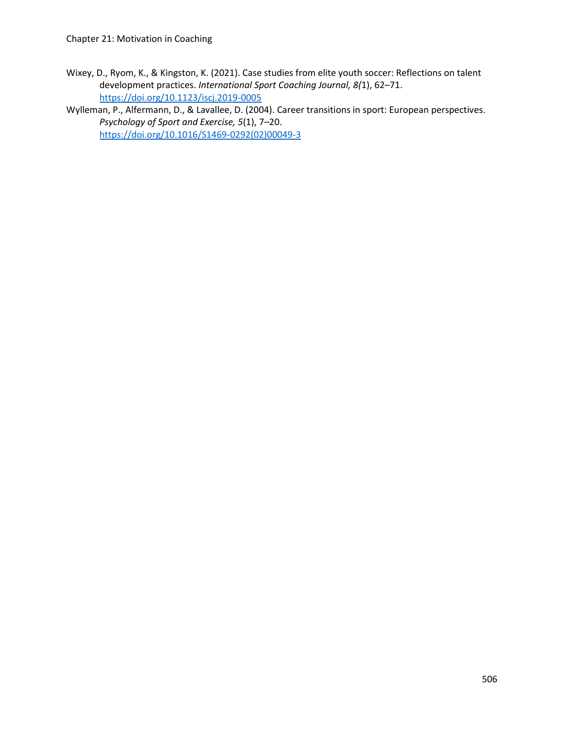Wixey, D., Ryom, K., & Kingston, K. (2021). Case studies from elite youth soccer: Reflections on talent development practices. *International Sport Coaching Journal, 8(*1), 62–71. <https://doi.org/10.1123/iscj.2019-0005>

Wylleman, P., Alfermann, D., & Lavallee, D. (2004). Career transitions in sport: European perspectives. *Psychology of Sport and Exercise, 5*(1), 7–20. [https://doi.org/10.1016/S1469-0292\(02\)00049-3](https://doi.org/10.1016/S1469-0292(02)00049-3)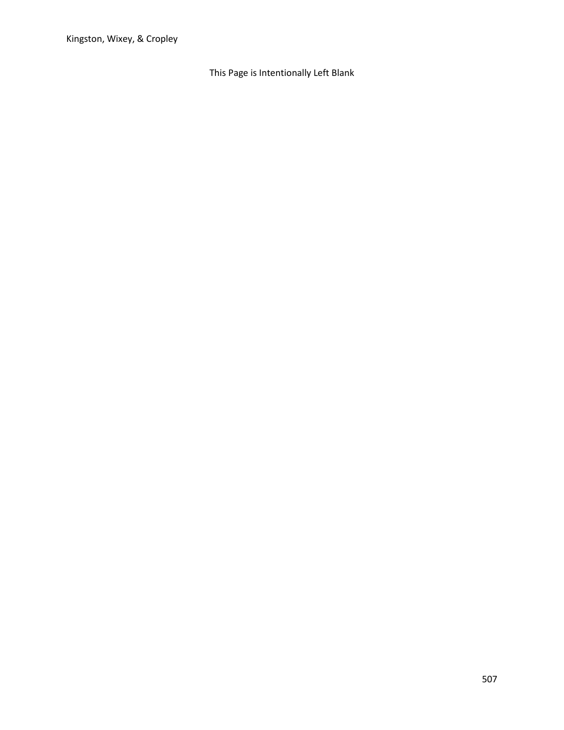This Page is Intentionally Left Blank